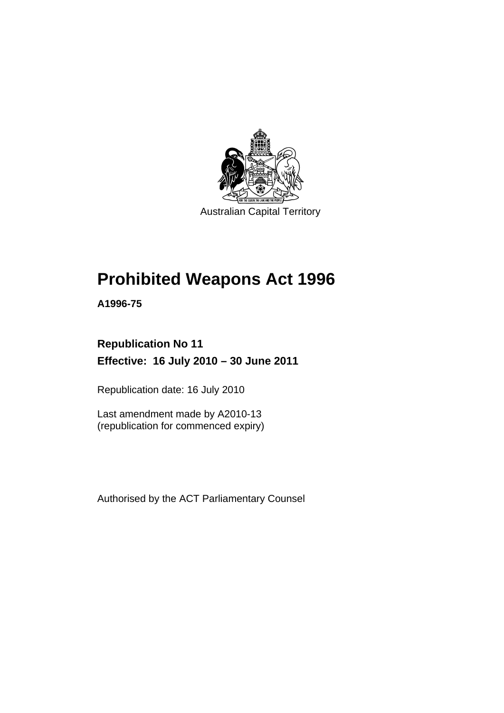

Australian Capital Territory

# **Prohibited Weapons Act 1996**

**A1996-75** 

# **Republication No 11 Effective: 16 July 2010 – 30 June 2011**

Republication date: 16 July 2010

Last amendment made by A2010-13 (republication for commenced expiry)

Authorised by the ACT Parliamentary Counsel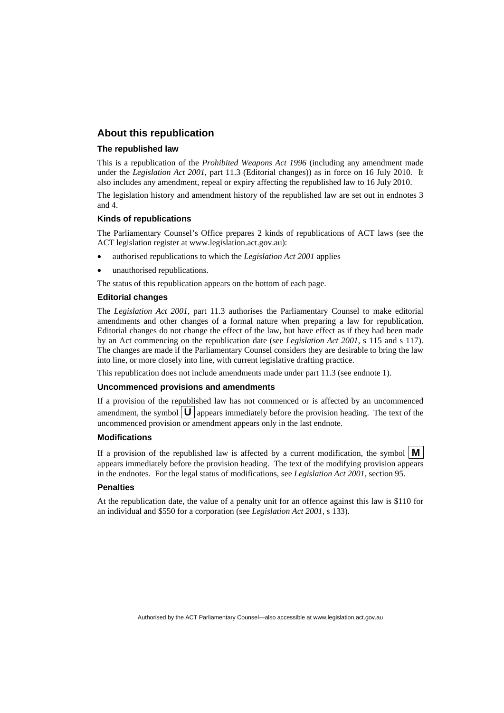#### **About this republication**

#### **The republished law**

This is a republication of the *Prohibited Weapons Act 1996* (including any amendment made under the *Legislation Act 2001*, part 11.3 (Editorial changes)) as in force on 16 July 2010*.* It also includes any amendment, repeal or expiry affecting the republished law to 16 July 2010.

The legislation history and amendment history of the republished law are set out in endnotes 3 and 4.

#### **Kinds of republications**

The Parliamentary Counsel's Office prepares 2 kinds of republications of ACT laws (see the ACT legislation register at www.legislation.act.gov.au):

- authorised republications to which the *Legislation Act 2001* applies
- unauthorised republications.

The status of this republication appears on the bottom of each page.

#### **Editorial changes**

The *Legislation Act 2001*, part 11.3 authorises the Parliamentary Counsel to make editorial amendments and other changes of a formal nature when preparing a law for republication. Editorial changes do not change the effect of the law, but have effect as if they had been made by an Act commencing on the republication date (see *Legislation Act 2001*, s 115 and s 117). The changes are made if the Parliamentary Counsel considers they are desirable to bring the law into line, or more closely into line, with current legislative drafting practice.

This republication does not include amendments made under part 11.3 (see endnote 1).

#### **Uncommenced provisions and amendments**

If a provision of the republished law has not commenced or is affected by an uncommenced amendment, the symbol  $\mathbf{U}$  appears immediately before the provision heading. The text of the uncommenced provision or amendment appears only in the last endnote.

#### **Modifications**

If a provision of the republished law is affected by a current modification, the symbol  $\mathbf{M}$ appears immediately before the provision heading. The text of the modifying provision appears in the endnotes. For the legal status of modifications, see *Legislation Act 2001*, section 95.

#### **Penalties**

At the republication date, the value of a penalty unit for an offence against this law is \$110 for an individual and \$550 for a corporation (see *Legislation Act 2001*, s 133).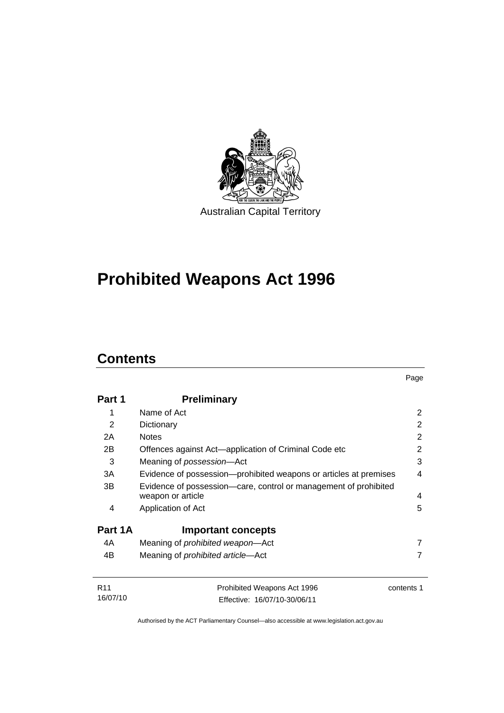

# **Prohibited Weapons Act 1996**

## **Contents**

16/07/10

| Part 1          | <b>Preliminary</b>                                                                    |                |
|-----------------|---------------------------------------------------------------------------------------|----------------|
| 1               | Name of Act                                                                           | 2              |
| 2               | Dictionary                                                                            | 2              |
| 2A              | <b>Notes</b>                                                                          | 2              |
| 2B              | Offences against Act—application of Criminal Code etc                                 | 2              |
| 3               | Meaning of possession-Act                                                             | 3              |
| 3A              | Evidence of possession-prohibited weapons or articles at premises                     | 4              |
| 3B              | Evidence of possession-care, control or management of prohibited<br>weapon or article | 4              |
| 4               | Application of Act                                                                    | 5              |
| Part 1A         | <b>Important concepts</b>                                                             |                |
| 4A              | Meaning of <i>prohibited</i> weapon-Act                                               | $\overline{7}$ |
| 4B              | Meaning of <i>prohibited</i> article-Act                                              | 7              |
|                 |                                                                                       |                |
| R <sub>11</sub> | Prohibited Weapons Act 1996                                                           | contents 1     |

Authorised by the ACT Parliamentary Counsel—also accessible at www.legislation.act.gov.au

Effective: 16/07/10-30/06/11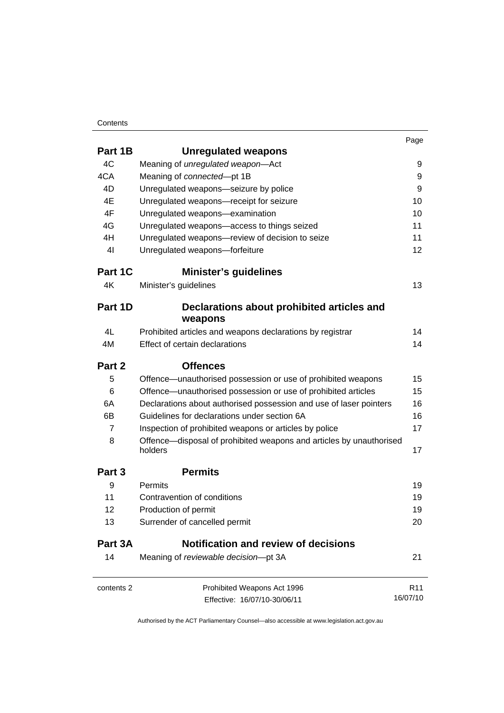#### **Contents**

| Part 1B        | <b>Unregulated weapons</b>                                                     |                 |
|----------------|--------------------------------------------------------------------------------|-----------------|
| 4C             | Meaning of unregulated weapon-Act                                              | 9               |
| 4CA            | Meaning of connected-pt 1B                                                     | 9               |
| 4D             | Unregulated weapons-seizure by police                                          | 9               |
| 4E             | Unregulated weapons-receipt for seizure                                        | 10              |
| 4F             | Unregulated weapons-examination                                                | 10              |
| 4G             | Unregulated weapons-access to things seized                                    | 11              |
| 4H             | Unregulated weapons-review of decision to seize                                | 11              |
| 4 <sub>l</sub> | Unregulated weapons-forfeiture                                                 | 12              |
| Part 1C        | <b>Minister's guidelines</b>                                                   |                 |
| 4K             | Minister's guidelines                                                          | 13              |
| Part 1D        | Declarations about prohibited articles and                                     |                 |
|                | weapons                                                                        |                 |
| 4L             | Prohibited articles and weapons declarations by registrar                      | 14              |
| 4M             | Effect of certain declarations                                                 | 14              |
| Part 2         | <b>Offences</b>                                                                |                 |
| 5              | Offence-unauthorised possession or use of prohibited weapons                   | 15              |
| 6              | Offence-unauthorised possession or use of prohibited articles                  | 15              |
| 6A             | Declarations about authorised possession and use of laser pointers             | 16              |
| 6B             | Guidelines for declarations under section 6A                                   | 16              |
| $\overline{7}$ | Inspection of prohibited weapons or articles by police                         | 17              |
| 8              | Offence—disposal of prohibited weapons and articles by unauthorised<br>holders | 17              |
| Part 3         | <b>Permits</b>                                                                 |                 |
| 9              | Permits                                                                        | 19              |
| 11             | Contravention of conditions                                                    | 19              |
| 12             | Production of permit                                                           | 19              |
| 13             | Surrender of cancelled permit                                                  | 20              |
| Part 3A        | <b>Notification and review of decisions</b>                                    |                 |
| 14             | Meaning of reviewable decision-pt 3A                                           | 21              |
| contents 2     | Prohibited Weapons Act 1996                                                    | R <sub>11</sub> |
|                | Effective: 16/07/10-30/06/11                                                   | 16/07/10        |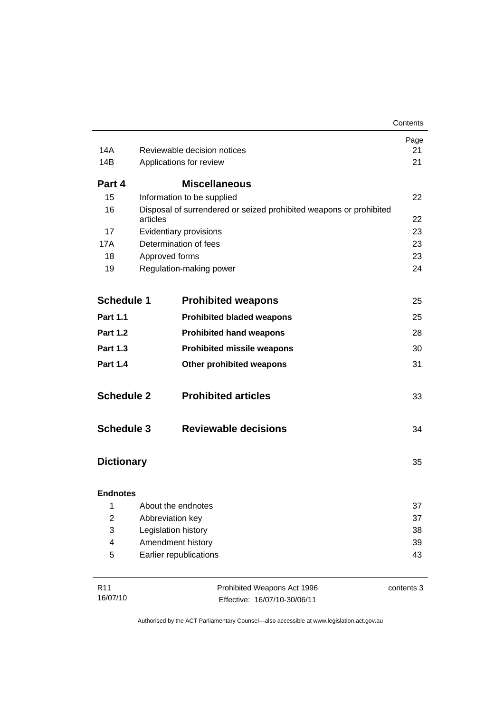|                             |                                                                                | Contents   |  |
|-----------------------------|--------------------------------------------------------------------------------|------------|--|
|                             |                                                                                | Page       |  |
| 14A                         | Reviewable decision notices                                                    | 21         |  |
| 14B                         | Applications for review                                                        | 21         |  |
| Part 4                      | <b>Miscellaneous</b>                                                           |            |  |
| 15                          | Information to be supplied                                                     | 22         |  |
| 16                          | Disposal of surrendered or seized prohibited weapons or prohibited<br>articles |            |  |
| 17                          | Evidentiary provisions                                                         | 23         |  |
| 17A                         | Determination of fees                                                          | 23         |  |
| 18                          | Approved forms                                                                 | 23         |  |
| 19                          | Regulation-making power                                                        | 24         |  |
| <b>Schedule 1</b>           | <b>Prohibited weapons</b>                                                      | 25         |  |
| <b>Part 1.1</b>             | <b>Prohibited bladed weapons</b>                                               | 25         |  |
| <b>Part 1.2</b>             | <b>Prohibited hand weapons</b>                                                 | 28         |  |
| <b>Part 1.3</b>             | <b>Prohibited missile weapons</b>                                              | 30         |  |
| <b>Part 1.4</b>             | Other prohibited weapons                                                       | 31         |  |
| <b>Schedule 2</b>           | <b>Prohibited articles</b>                                                     | 33         |  |
| <b>Schedule 3</b>           | <b>Reviewable decisions</b>                                                    | 34         |  |
| <b>Dictionary</b>           |                                                                                | 35         |  |
| <b>Endnotes</b>             |                                                                                |            |  |
| 1                           | About the endnotes                                                             | 37         |  |
| $\overline{2}$              | Abbreviation key                                                               |            |  |
| 3                           | Legislation history<br>Amendment history<br>4<br>Earlier republications<br>5   |            |  |
|                             |                                                                                |            |  |
|                             |                                                                                |            |  |
| R <sub>11</sub><br>16/07/10 | Prohibited Weapons Act 1996<br>Effective: 16/07/10-30/06/11                    | contents 3 |  |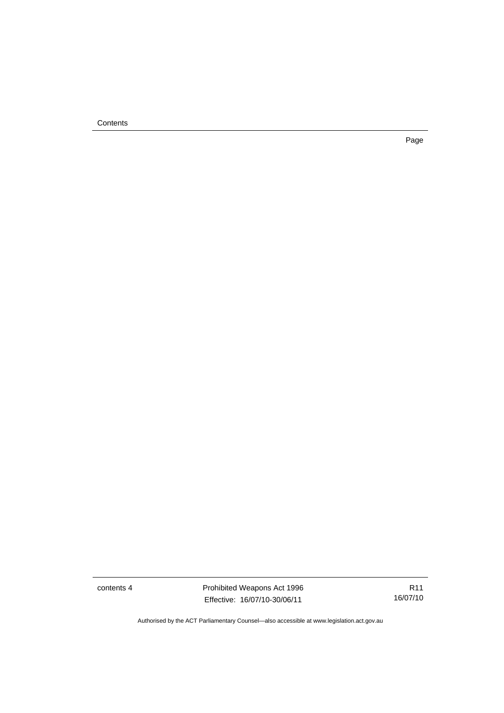**Contents** 

Page

contents 4 Prohibited Weapons Act 1996 Effective: 16/07/10-30/06/11

R11 16/07/10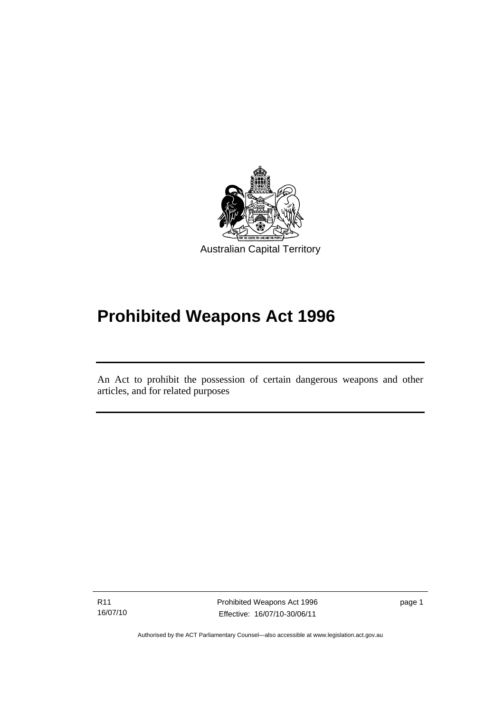

# **Prohibited Weapons Act 1996**

An Act to prohibit the possession of certain dangerous weapons and other articles, and for related purposes

R11 16/07/10

Ī

Prohibited Weapons Act 1996 Effective: 16/07/10-30/06/11

page 1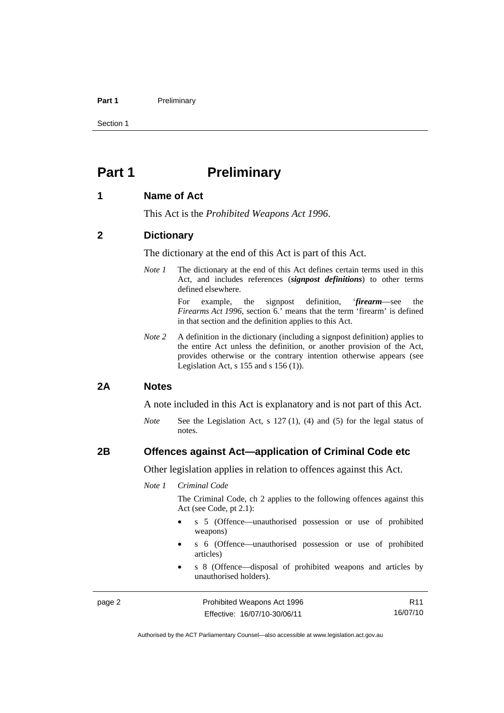#### Part 1 **Preliminary**

Section 1

## <span id="page-7-0"></span>**Part 1** Preliminary

#### <span id="page-7-1"></span>**1 Name of Act**

This Act is the *Prohibited Weapons Act 1996*.

#### <span id="page-7-2"></span>**2 Dictionary**

The dictionary at the end of this Act is part of this Act.

*Note 1* The dictionary at the end of this Act defines certain terms used in this Act, and includes references (*signpost definitions*) to other terms defined elsewhere.

> For example, the signpost definition, '*firearm*—see the *Firearms Act 1996*, section 6.' means that the term 'firearm' is defined in that section and the definition applies to this Act.

*Note 2* A definition in the dictionary (including a signpost definition) applies to the entire Act unless the definition, or another provision of the Act, provides otherwise or the contrary intention otherwise appears (see Legislation Act, s 155 and s 156 (1)).

#### <span id="page-7-3"></span>**2A Notes**

A note included in this Act is explanatory and is not part of this Act.

*Note* See the Legislation Act, s 127 (1), (4) and (5) for the legal status of notes.

#### <span id="page-7-4"></span>**2B Offences against Act—application of Criminal Code etc**

Other legislation applies in relation to offences against this Act.

*Note 1 Criminal Code*

The Criminal Code, ch 2 applies to the following offences against this Act (see Code, pt 2.1):

- s 5 (Offence—unauthorised possession or use of prohibited weapons)
- s 6 (Offence—unauthorised possession or use of prohibited articles)
- s 8 (Offence—disposal of prohibited weapons and articles by unauthorised holders).

| page 2 | Prohibited Weapons Act 1996  | R <sub>11</sub> |
|--------|------------------------------|-----------------|
|        | Effective: 16/07/10-30/06/11 | 16/07/10        |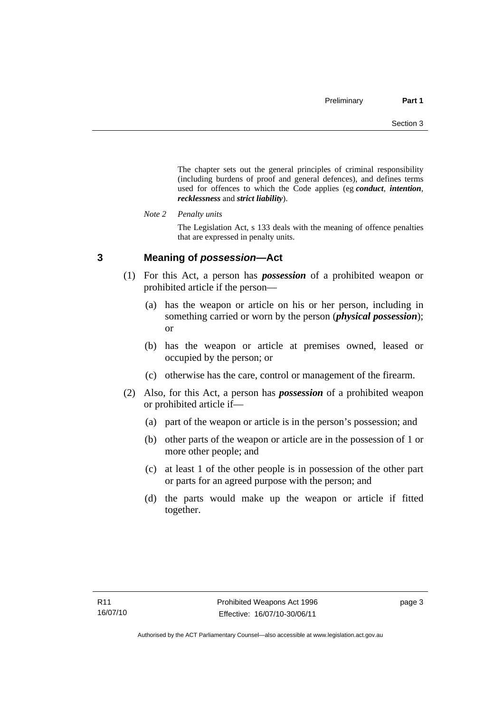The chapter sets out the general principles of criminal responsibility (including burdens of proof and general defences), and defines terms used for offences to which the Code applies (eg *conduct*, *intention*, *recklessness* and *strict liability*).

*Note 2 Penalty units* 

The Legislation Act, s 133 deals with the meaning of offence penalties that are expressed in penalty units.

### <span id="page-8-0"></span>**3 Meaning of** *possession***—Act**

- (1) For this Act, a person has *possession* of a prohibited weapon or prohibited article if the person—
	- (a) has the weapon or article on his or her person, including in something carried or worn by the person (*physical possession*); or
	- (b) has the weapon or article at premises owned, leased or occupied by the person; or
	- (c) otherwise has the care, control or management of the firearm.
- (2) Also, for this Act, a person has *possession* of a prohibited weapon or prohibited article if—
	- (a) part of the weapon or article is in the person's possession; and
	- (b) other parts of the weapon or article are in the possession of 1 or more other people; and
	- (c) at least 1 of the other people is in possession of the other part or parts for an agreed purpose with the person; and
	- (d) the parts would make up the weapon or article if fitted together.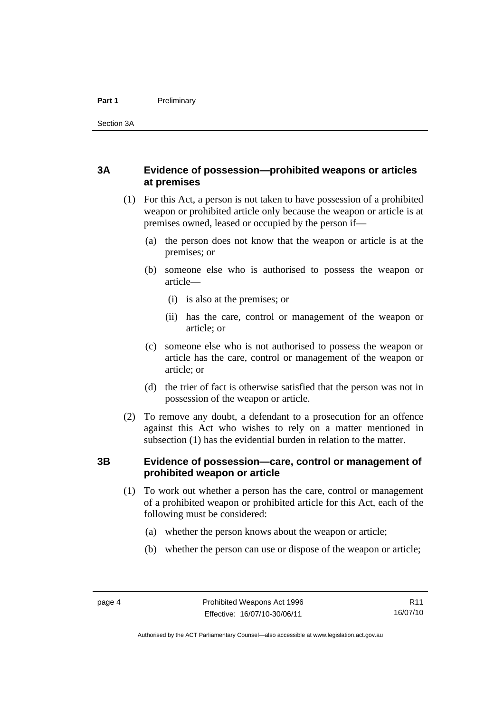### <span id="page-9-0"></span>**3A Evidence of possession—prohibited weapons or articles at premises**

- (1) For this Act, a person is not taken to have possession of a prohibited weapon or prohibited article only because the weapon or article is at premises owned, leased or occupied by the person if—
	- (a) the person does not know that the weapon or article is at the premises; or
	- (b) someone else who is authorised to possess the weapon or article—
		- (i) is also at the premises; or
		- (ii) has the care, control or management of the weapon or article; or
	- (c) someone else who is not authorised to possess the weapon or article has the care, control or management of the weapon or article; or
	- (d) the trier of fact is otherwise satisfied that the person was not in possession of the weapon or article.
- (2) To remove any doubt, a defendant to a prosecution for an offence against this Act who wishes to rely on a matter mentioned in subsection (1) has the evidential burden in relation to the matter.

### <span id="page-9-1"></span>**3B Evidence of possession—care, control or management of prohibited weapon or article**

- (1) To work out whether a person has the care, control or management of a prohibited weapon or prohibited article for this Act, each of the following must be considered:
	- (a) whether the person knows about the weapon or article;
	- (b) whether the person can use or dispose of the weapon or article;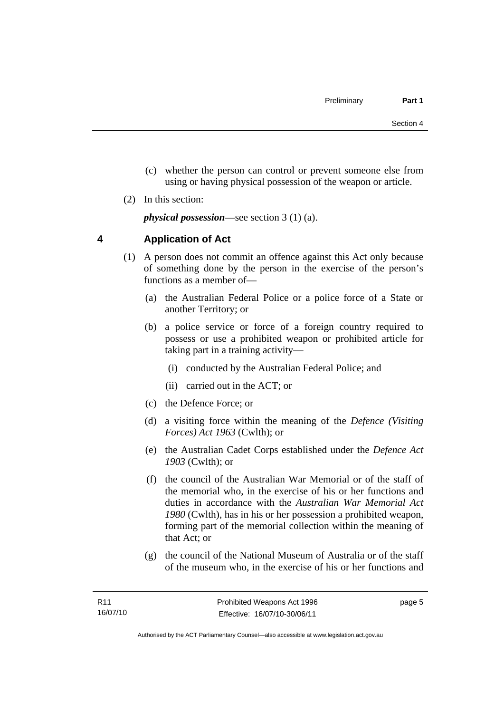- (c) whether the person can control or prevent someone else from using or having physical possession of the weapon or article.
- (2) In this section:

*physical possession*—see section 3 (1) (a).

## <span id="page-10-0"></span>**4 Application of Act**

- (1) A person does not commit an offence against this Act only because of something done by the person in the exercise of the person's functions as a member of—
	- (a) the Australian Federal Police or a police force of a State or another Territory; or
	- (b) a police service or force of a foreign country required to possess or use a prohibited weapon or prohibited article for taking part in a training activity—
		- (i) conducted by the Australian Federal Police; and
		- (ii) carried out in the ACT; or
	- (c) the Defence Force; or
	- (d) a visiting force within the meaning of the *Defence (Visiting Forces) Act 1963* (Cwlth); or
	- (e) the Australian Cadet Corps established under the *Defence Act 1903* (Cwlth); or
	- (f) the council of the Australian War Memorial or of the staff of the memorial who, in the exercise of his or her functions and duties in accordance with the *Australian War Memorial Act 1980* (Cwlth), has in his or her possession a prohibited weapon, forming part of the memorial collection within the meaning of that Act; or
	- (g) the council of the National Museum of Australia or of the staff of the museum who, in the exercise of his or her functions and

page 5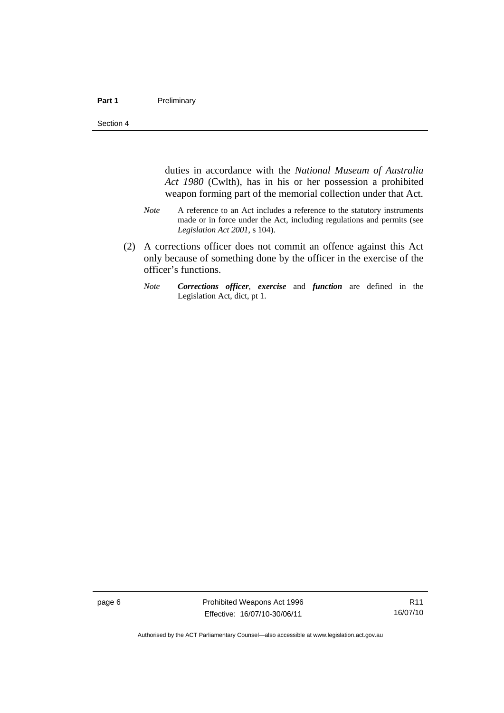Section 4

duties in accordance with the *National Museum of Australia Act 1980* (Cwlth), has in his or her possession a prohibited weapon forming part of the memorial collection under that Act.

- *Note* A reference to an Act includes a reference to the statutory instruments made or in force under the Act, including regulations and permits (see *Legislation Act 2001*, s 104).
- (2) A corrections officer does not commit an offence against this Act only because of something done by the officer in the exercise of the officer's functions.
	- *Note Corrections officer*, *exercise* and *function* are defined in the Legislation Act, dict, pt 1.

page 6 **Prohibited Weapons Act 1996** Effective: 16/07/10-30/06/11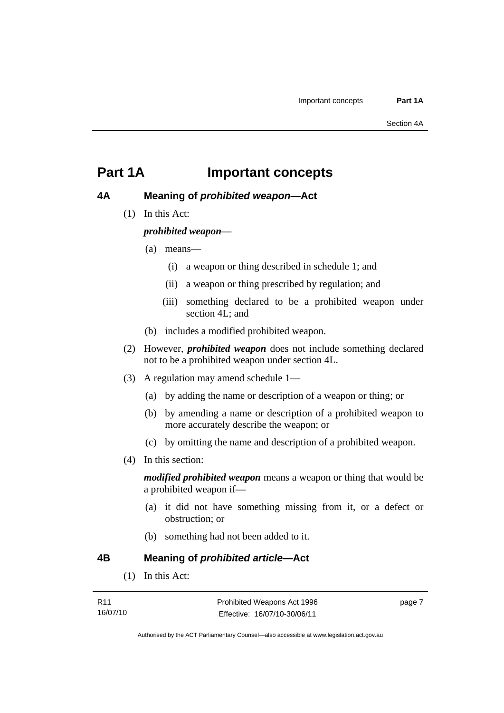## <span id="page-12-0"></span>**Part 1A Important concepts**

### <span id="page-12-1"></span>**4A Meaning of** *prohibited weapon***—Act**

(1) In this Act:

*prohibited weapon*—

- (a) means—
	- (i) a weapon or thing described in schedule 1; and
	- (ii) a weapon or thing prescribed by regulation; and
	- (iii) something declared to be a prohibited weapon under section 4L; and
- (b) includes a modified prohibited weapon.
- (2) However, *prohibited weapon* does not include something declared not to be a prohibited weapon under section 4L.
- (3) A regulation may amend schedule 1—
	- (a) by adding the name or description of a weapon or thing; or
	- (b) by amending a name or description of a prohibited weapon to more accurately describe the weapon; or
	- (c) by omitting the name and description of a prohibited weapon.
- (4) In this section:

*modified prohibited weapon* means a weapon or thing that would be a prohibited weapon if—

- (a) it did not have something missing from it, or a defect or obstruction; or
- (b) something had not been added to it.

<span id="page-12-2"></span>**4B Meaning of** *prohibited article***—Act**

(1) In this Act: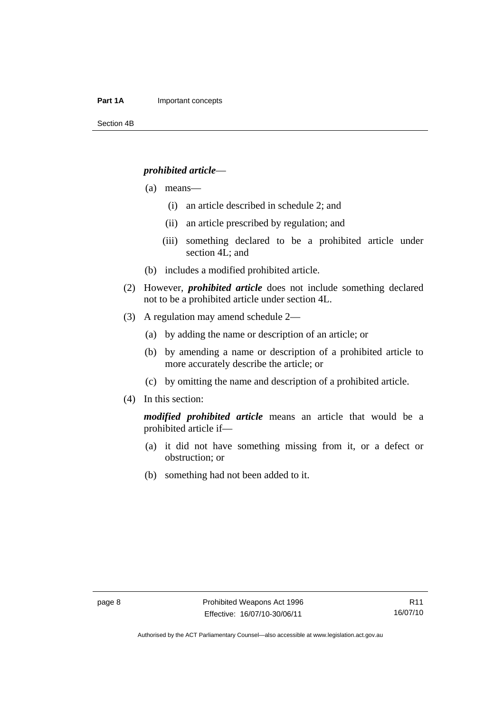#### *prohibited article*—

- (a) means—
	- (i) an article described in schedule 2; and
	- (ii) an article prescribed by regulation; and
	- (iii) something declared to be a prohibited article under section 4L; and
- (b) includes a modified prohibited article.
- (2) However, *prohibited article* does not include something declared not to be a prohibited article under section 4L.
- (3) A regulation may amend schedule 2—
	- (a) by adding the name or description of an article; or
	- (b) by amending a name or description of a prohibited article to more accurately describe the article; or
	- (c) by omitting the name and description of a prohibited article.

#### (4) In this section:

*modified prohibited article* means an article that would be a prohibited article if—

- (a) it did not have something missing from it, or a defect or obstruction; or
- (b) something had not been added to it.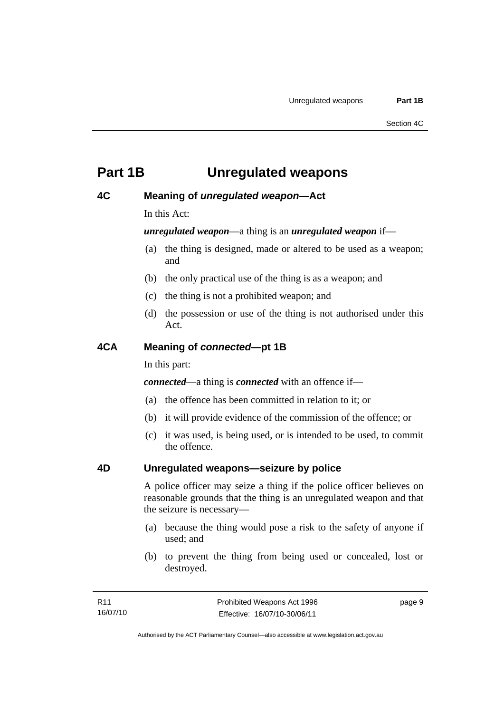# <span id="page-14-0"></span>**Part 1B Unregulated weapons**

## <span id="page-14-1"></span>**4C Meaning of** *unregulated weapon***—Act**

In this Act:

*unregulated weapon*—a thing is an *unregulated weapon* if—

- (a) the thing is designed, made or altered to be used as a weapon; and
- (b) the only practical use of the thing is as a weapon; and
- (c) the thing is not a prohibited weapon; and
- (d) the possession or use of the thing is not authorised under this Act.

### <span id="page-14-2"></span>**4CA Meaning of** *connected***—pt 1B**

In this part:

*connected*—a thing is *connected* with an offence if—

- (a) the offence has been committed in relation to it; or
- (b) it will provide evidence of the commission of the offence; or
- (c) it was used, is being used, or is intended to be used, to commit the offence.

#### <span id="page-14-3"></span>**4D Unregulated weapons—seizure by police**

A police officer may seize a thing if the police officer believes on reasonable grounds that the thing is an unregulated weapon and that the seizure is necessary—

- (a) because the thing would pose a risk to the safety of anyone if used; and
- (b) to prevent the thing from being used or concealed, lost or destroyed.

page 9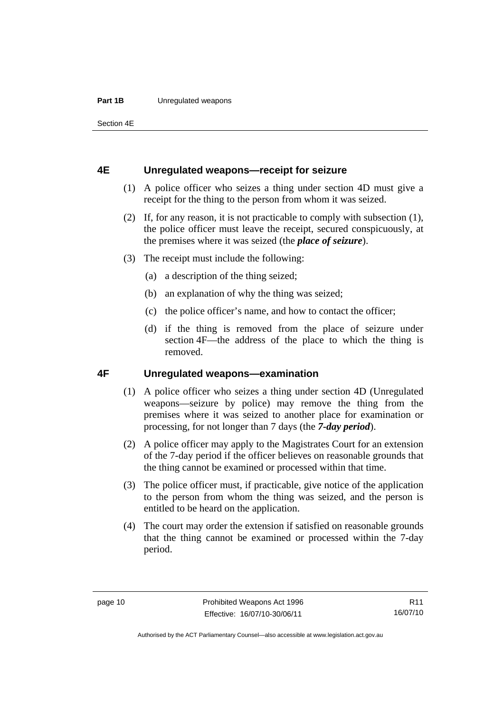#### **Part 1B** Unregulated weapons

Section 4E

#### <span id="page-15-0"></span>**4E Unregulated weapons—receipt for seizure**

- (1) A police officer who seizes a thing under section 4D must give a receipt for the thing to the person from whom it was seized.
- (2) If, for any reason, it is not practicable to comply with subsection (1), the police officer must leave the receipt, secured conspicuously, at the premises where it was seized (the *place of seizure*).
- (3) The receipt must include the following:
	- (a) a description of the thing seized;
	- (b) an explanation of why the thing was seized;
	- (c) the police officer's name, and how to contact the officer;
	- (d) if the thing is removed from the place of seizure under section 4F—the address of the place to which the thing is removed.

#### <span id="page-15-1"></span>**4F Unregulated weapons—examination**

- (1) A police officer who seizes a thing under section 4D (Unregulated weapons—seizure by police) may remove the thing from the premises where it was seized to another place for examination or processing, for not longer than 7 days (the *7-day period*).
- (2) A police officer may apply to the Magistrates Court for an extension of the 7-day period if the officer believes on reasonable grounds that the thing cannot be examined or processed within that time.
- (3) The police officer must, if practicable, give notice of the application to the person from whom the thing was seized, and the person is entitled to be heard on the application.
- (4) The court may order the extension if satisfied on reasonable grounds that the thing cannot be examined or processed within the 7-day period.

R11 16/07/10

Authorised by the ACT Parliamentary Counsel—also accessible at www.legislation.act.gov.au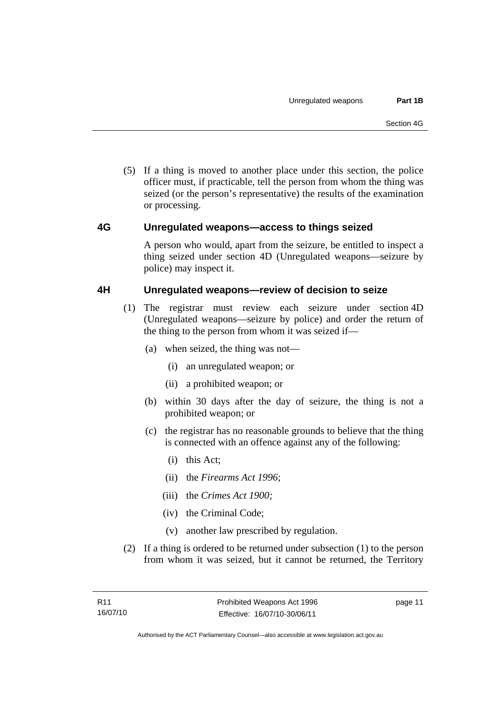(5) If a thing is moved to another place under this section, the police officer must, if practicable, tell the person from whom the thing was seized (or the person's representative) the results of the examination or processing.

#### <span id="page-16-0"></span>**4G Unregulated weapons—access to things seized**

A person who would, apart from the seizure, be entitled to inspect a thing seized under section 4D (Unregulated weapons—seizure by police) may inspect it.

#### <span id="page-16-1"></span>**4H Unregulated weapons—review of decision to seize**

- (1) The registrar must review each seizure under section 4D (Unregulated weapons—seizure by police) and order the return of the thing to the person from whom it was seized if—
	- (a) when seized, the thing was not—
		- (i) an unregulated weapon; or
		- (ii) a prohibited weapon; or
	- (b) within 30 days after the day of seizure, the thing is not a prohibited weapon; or
	- (c) the registrar has no reasonable grounds to believe that the thing is connected with an offence against any of the following:
		- (i) this Act;
		- (ii) the *Firearms Act 1996*;
		- (iii) the *Crimes Act 1900;*
		- (iv) the Criminal Code;
		- (v) another law prescribed by regulation.
- (2) If a thing is ordered to be returned under subsection (1) to the person from whom it was seized, but it cannot be returned, the Territory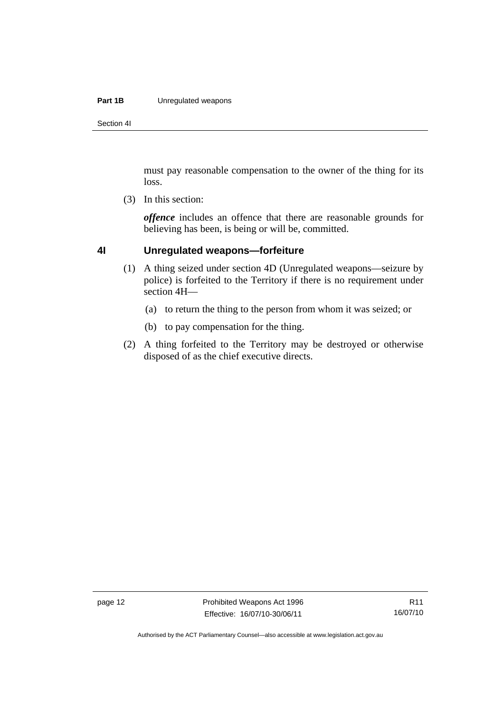#### **Part 1B** Unregulated weapons

Section 4I

must pay reasonable compensation to the owner of the thing for its loss.

(3) In this section:

*offence* includes an offence that there are reasonable grounds for believing has been, is being or will be, committed.

#### <span id="page-17-0"></span>**4I Unregulated weapons—forfeiture**

- (1) A thing seized under section 4D (Unregulated weapons—seizure by police) is forfeited to the Territory if there is no requirement under section 4H—
	- (a) to return the thing to the person from whom it was seized; or
	- (b) to pay compensation for the thing.
- (2) A thing forfeited to the Territory may be destroyed or otherwise disposed of as the chief executive directs.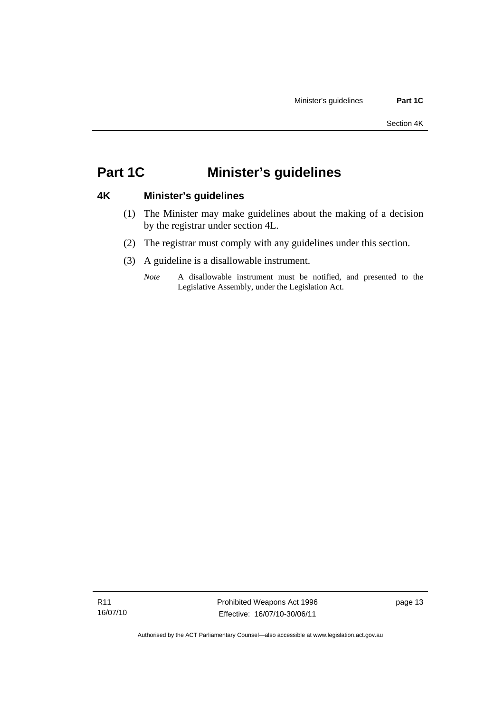## <span id="page-18-0"></span>**Part 1C Minister's guidelines**

### <span id="page-18-1"></span>**4K Minister's guidelines**

- (1) The Minister may make guidelines about the making of a decision by the registrar under section 4L.
- (2) The registrar must comply with any guidelines under this section.
- (3) A guideline is a disallowable instrument.
	- *Note* A disallowable instrument must be notified, and presented to the Legislative Assembly, under the Legislation Act.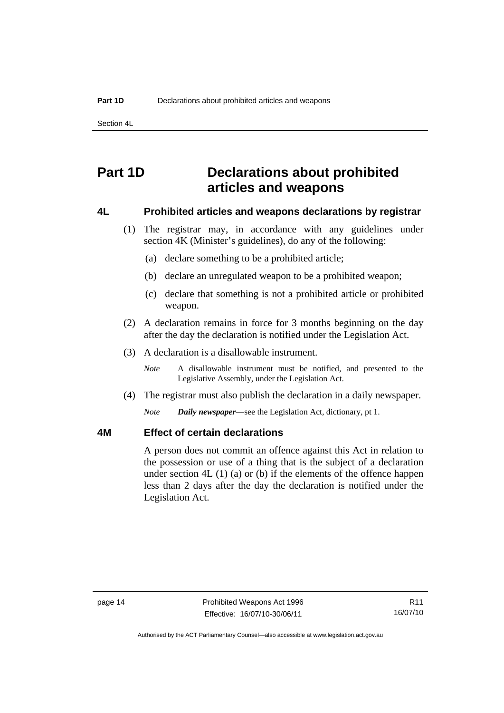Section 4L

## <span id="page-19-0"></span>**Part 1D Declarations about prohibited articles and weapons**

#### <span id="page-19-1"></span>**4L Prohibited articles and weapons declarations by registrar**

- (1) The registrar may, in accordance with any guidelines under section 4K (Minister's guidelines), do any of the following:
	- (a) declare something to be a prohibited article;
	- (b) declare an unregulated weapon to be a prohibited weapon;
	- (c) declare that something is not a prohibited article or prohibited weapon.
- (2) A declaration remains in force for 3 months beginning on the day after the day the declaration is notified under the Legislation Act.
- (3) A declaration is a disallowable instrument.

*Note* A disallowable instrument must be notified, and presented to the Legislative Assembly, under the Legislation Act.

(4) The registrar must also publish the declaration in a daily newspaper.

*Note Daily newspaper*—see the Legislation Act, dictionary, pt 1.

#### <span id="page-19-2"></span>**4M Effect of certain declarations**

A person does not commit an offence against this Act in relation to the possession or use of a thing that is the subject of a declaration under section 4L (1) (a) or (b) if the elements of the offence happen less than 2 days after the day the declaration is notified under the Legislation Act.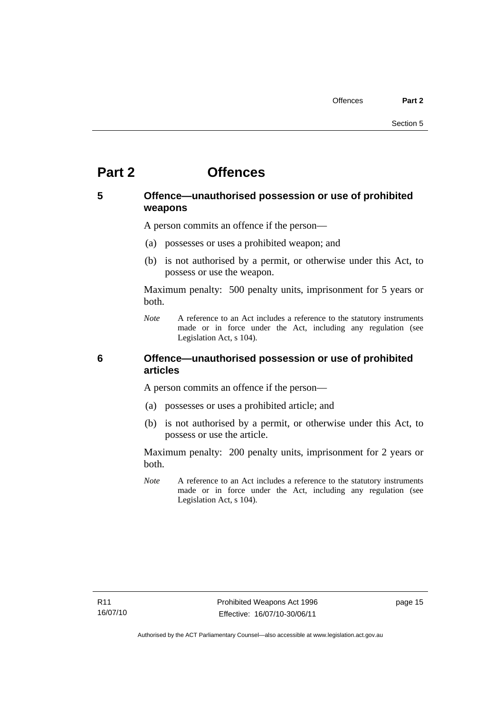## <span id="page-20-0"></span>**Part 2 Offences**

## <span id="page-20-1"></span>**5 Offence—unauthorised possession or use of prohibited weapons**

A person commits an offence if the person—

- (a) possesses or uses a prohibited weapon; and
- (b) is not authorised by a permit, or otherwise under this Act, to possess or use the weapon.

Maximum penalty: 500 penalty units, imprisonment for 5 years or both.

*Note* A reference to an Act includes a reference to the statutory instruments made or in force under the Act, including any regulation (see Legislation Act, s 104).

#### <span id="page-20-2"></span>**6 Offence—unauthorised possession or use of prohibited articles**

A person commits an offence if the person—

- (a) possesses or uses a prohibited article; and
- (b) is not authorised by a permit, or otherwise under this Act, to possess or use the article.

Maximum penalty: 200 penalty units, imprisonment for 2 years or both.

*Note* A reference to an Act includes a reference to the statutory instruments made or in force under the Act, including any regulation (see Legislation Act, s 104).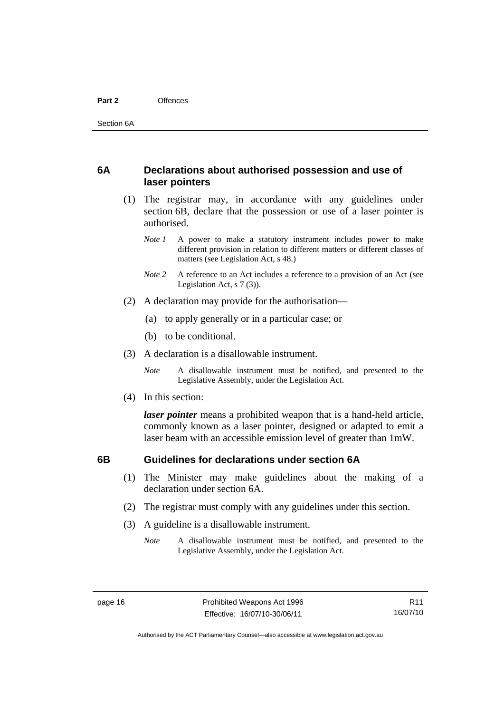#### <span id="page-21-0"></span>**6A Declarations about authorised possession and use of laser pointers**

- (1) The registrar may, in accordance with any guidelines under section 6B, declare that the possession or use of a laser pointer is authorised.
	- *Note 1* A power to make a statutory instrument includes power to make different provision in relation to different matters or different classes of matters (see Legislation Act, s 48.)
	- *Note* 2 A reference to an Act includes a reference to a provision of an Act (see Legislation Act, s 7 (3)).
- (2) A declaration may provide for the authorisation—
	- (a) to apply generally or in a particular case; or
	- (b) to be conditional.
- (3) A declaration is a disallowable instrument.

*Note* A disallowable instrument must be notified, and presented to the Legislative Assembly, under the Legislation Act.

(4) In this section:

*laser pointer* means a prohibited weapon that is a hand-held article, commonly known as a laser pointer, designed or adapted to emit a laser beam with an accessible emission level of greater than 1mW.

### <span id="page-21-1"></span>**6B Guidelines for declarations under section 6A**

- (1) The Minister may make guidelines about the making of a declaration under section 6A.
- (2) The registrar must comply with any guidelines under this section.
- (3) A guideline is a disallowable instrument.
	- *Note* A disallowable instrument must be notified, and presented to the Legislative Assembly, under the Legislation Act.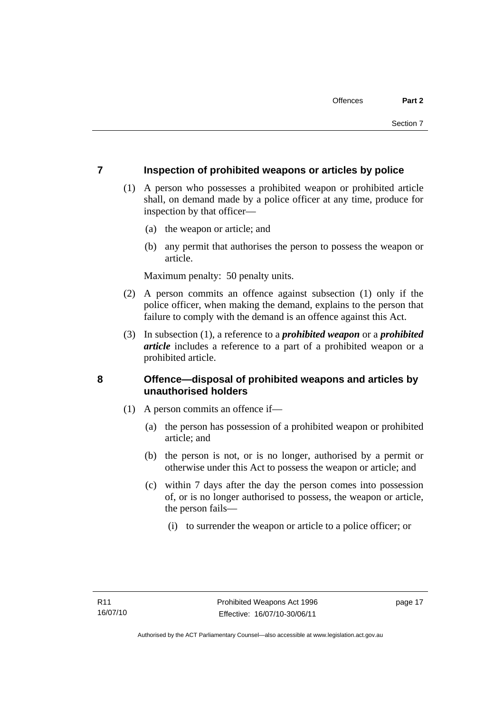### <span id="page-22-0"></span>**7 Inspection of prohibited weapons or articles by police**

- (1) A person who possesses a prohibited weapon or prohibited article shall, on demand made by a police officer at any time, produce for inspection by that officer—
	- (a) the weapon or article; and
	- (b) any permit that authorises the person to possess the weapon or article.

Maximum penalty: 50 penalty units.

- (2) A person commits an offence against subsection (1) only if the police officer, when making the demand, explains to the person that failure to comply with the demand is an offence against this Act.
- (3) In subsection (1), a reference to a *prohibited weapon* or a *prohibited article* includes a reference to a part of a prohibited weapon or a prohibited article.

## <span id="page-22-1"></span>**8 Offence—disposal of prohibited weapons and articles by unauthorised holders**

- (1) A person commits an offence if—
	- (a) the person has possession of a prohibited weapon or prohibited article; and
	- (b) the person is not, or is no longer, authorised by a permit or otherwise under this Act to possess the weapon or article; and
	- (c) within 7 days after the day the person comes into possession of, or is no longer authorised to possess, the weapon or article, the person fails—
		- (i) to surrender the weapon or article to a police officer; or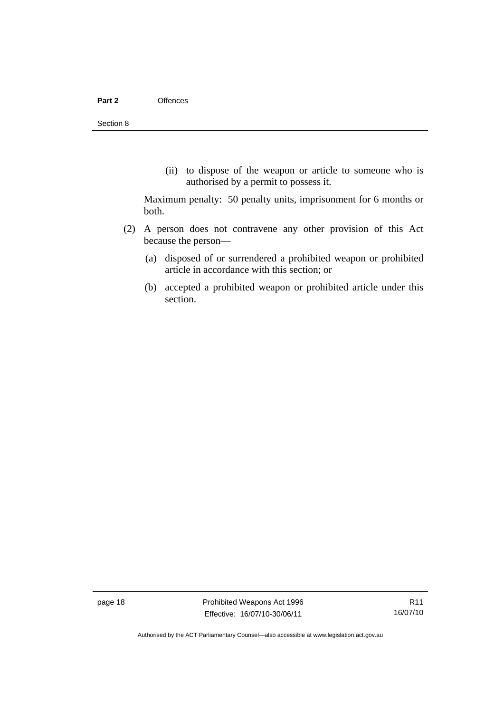(ii) to dispose of the weapon or article to someone who is authorised by a permit to possess it.

Maximum penalty: 50 penalty units, imprisonment for 6 months or both.

- (2) A person does not contravene any other provision of this Act because the person—
	- (a) disposed of or surrendered a prohibited weapon or prohibited article in accordance with this section; or
	- (b) accepted a prohibited weapon or prohibited article under this section.

page 18 **Prohibited Weapons Act 1996** Effective: 16/07/10-30/06/11

R11 16/07/10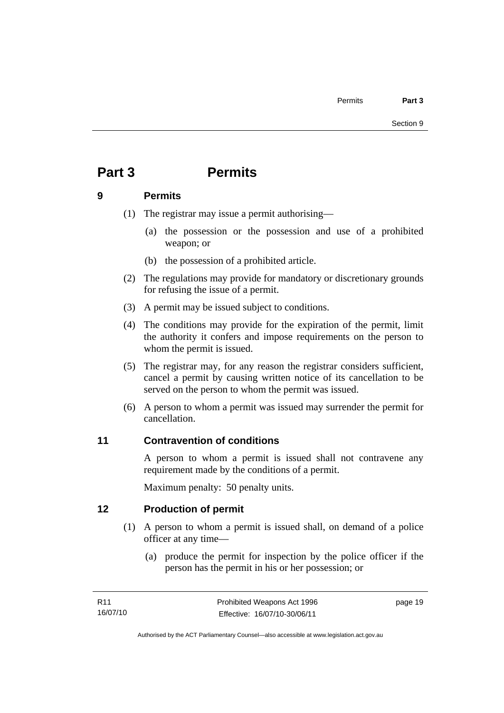# <span id="page-24-0"></span>**Part 3 Permits**

### <span id="page-24-1"></span>**9 Permits**

- (1) The registrar may issue a permit authorising—
	- (a) the possession or the possession and use of a prohibited weapon; or
	- (b) the possession of a prohibited article.
- (2) The regulations may provide for mandatory or discretionary grounds for refusing the issue of a permit.
- (3) A permit may be issued subject to conditions.
- (4) The conditions may provide for the expiration of the permit, limit the authority it confers and impose requirements on the person to whom the permit is issued.
- (5) The registrar may, for any reason the registrar considers sufficient, cancel a permit by causing written notice of its cancellation to be served on the person to whom the permit was issued.
- (6) A person to whom a permit was issued may surrender the permit for cancellation.

## <span id="page-24-2"></span>**11 Contravention of conditions**

A person to whom a permit is issued shall not contravene any requirement made by the conditions of a permit.

Maximum penalty: 50 penalty units.

## <span id="page-24-3"></span>**12 Production of permit**

- (1) A person to whom a permit is issued shall, on demand of a police officer at any time—
	- (a) produce the permit for inspection by the police officer if the person has the permit in his or her possession; or

page 19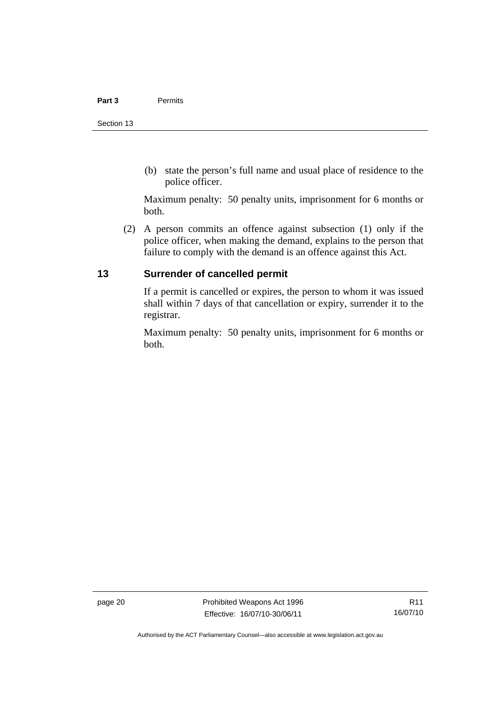(b) state the person's full name and usual place of residence to the police officer.

Maximum penalty: 50 penalty units, imprisonment for 6 months or both.

 (2) A person commits an offence against subsection (1) only if the police officer, when making the demand, explains to the person that failure to comply with the demand is an offence against this Act.

## <span id="page-25-0"></span>**13 Surrender of cancelled permit**

If a permit is cancelled or expires, the person to whom it was issued shall within 7 days of that cancellation or expiry, surrender it to the registrar.

Maximum penalty: 50 penalty units, imprisonment for 6 months or both.

page 20 **Prohibited Weapons Act 1996** Effective: 16/07/10-30/06/11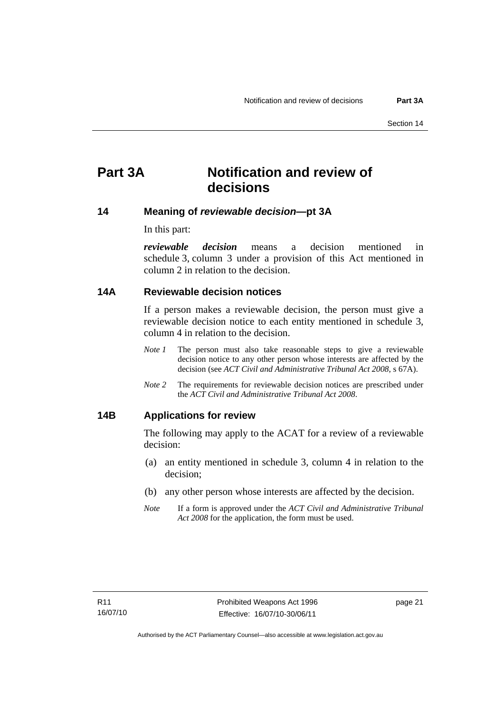# <span id="page-26-0"></span>**Part 3A Notification and review of decisions**

#### <span id="page-26-1"></span>**14 Meaning of** *reviewable decision—***pt 3A**

In this part:

*reviewable decision* means a decision mentioned in schedule 3, column 3 under a provision of this Act mentioned in column 2 in relation to the decision.

#### <span id="page-26-2"></span>**14A Reviewable decision notices**

If a person makes a reviewable decision, the person must give a reviewable decision notice to each entity mentioned in schedule 3, column 4 in relation to the decision.

- *Note 1* The person must also take reasonable steps to give a reviewable decision notice to any other person whose interests are affected by the decision (see *ACT Civil and Administrative Tribunal Act 2008*, s 67A).
- *Note 2* The requirements for reviewable decision notices are prescribed under the *ACT Civil and Administrative Tribunal Act 2008*.

### <span id="page-26-3"></span>**14B Applications for review**

The following may apply to the ACAT for a review of a reviewable decision:

- (a) an entity mentioned in schedule 3, column 4 in relation to the decision;
- (b) any other person whose interests are affected by the decision.
- *Note* If a form is approved under the *ACT Civil and Administrative Tribunal Act 2008* for the application, the form must be used.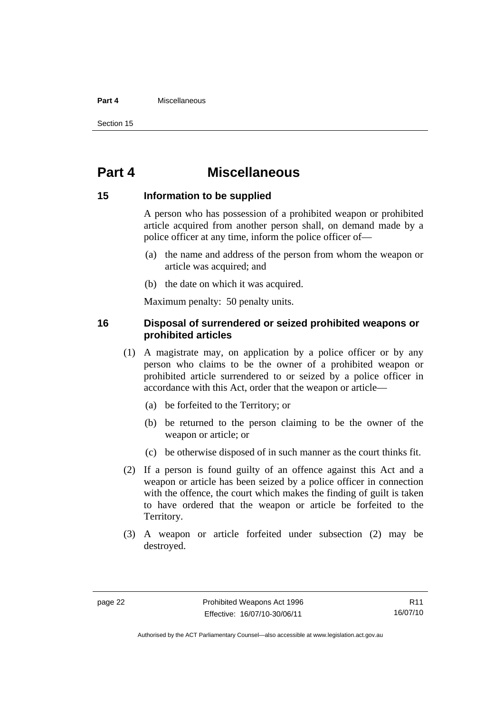#### **Part 4** Miscellaneous

Section 15

## <span id="page-27-0"></span>**Part 4 Miscellaneous**

#### <span id="page-27-1"></span>**15 Information to be supplied**

A person who has possession of a prohibited weapon or prohibited article acquired from another person shall, on demand made by a police officer at any time, inform the police officer of—

- (a) the name and address of the person from whom the weapon or article was acquired; and
- (b) the date on which it was acquired.

Maximum penalty: 50 penalty units.

#### <span id="page-27-2"></span>**16 Disposal of surrendered or seized prohibited weapons or prohibited articles**

- (1) A magistrate may, on application by a police officer or by any person who claims to be the owner of a prohibited weapon or prohibited article surrendered to or seized by a police officer in accordance with this Act, order that the weapon or article—
	- (a) be forfeited to the Territory; or
	- (b) be returned to the person claiming to be the owner of the weapon or article; or
	- (c) be otherwise disposed of in such manner as the court thinks fit.
- (2) If a person is found guilty of an offence against this Act and a weapon or article has been seized by a police officer in connection with the offence, the court which makes the finding of guilt is taken to have ordered that the weapon or article be forfeited to the Territory.
- (3) A weapon or article forfeited under subsection (2) may be destroyed.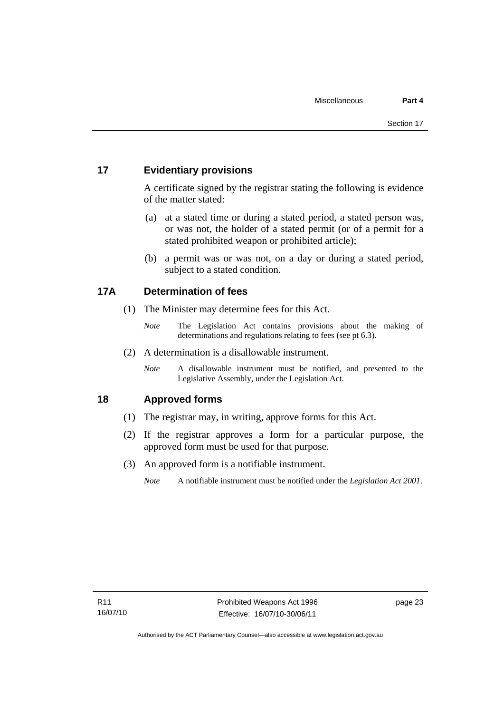## <span id="page-28-0"></span>**17 Evidentiary provisions**

A certificate signed by the registrar stating the following is evidence of the matter stated:

- (a) at a stated time or during a stated period, a stated person was, or was not, the holder of a stated permit (or of a permit for a stated prohibited weapon or prohibited article);
- (b) a permit was or was not, on a day or during a stated period, subject to a stated condition.

### <span id="page-28-1"></span>**17A Determination of fees**

- (1) The Minister may determine fees for this Act.
	- *Note* The Legislation Act contains provisions about the making of determinations and regulations relating to fees (see pt 6.3).
- (2) A determination is a disallowable instrument.
	- *Note* A disallowable instrument must be notified, and presented to the Legislative Assembly, under the Legislation Act.

## <span id="page-28-2"></span>**18 Approved forms**

- (1) The registrar may, in writing, approve forms for this Act.
- (2) If the registrar approves a form for a particular purpose, the approved form must be used for that purpose.
- (3) An approved form is a notifiable instrument.
	- *Note* A notifiable instrument must be notified under the *Legislation Act 2001*.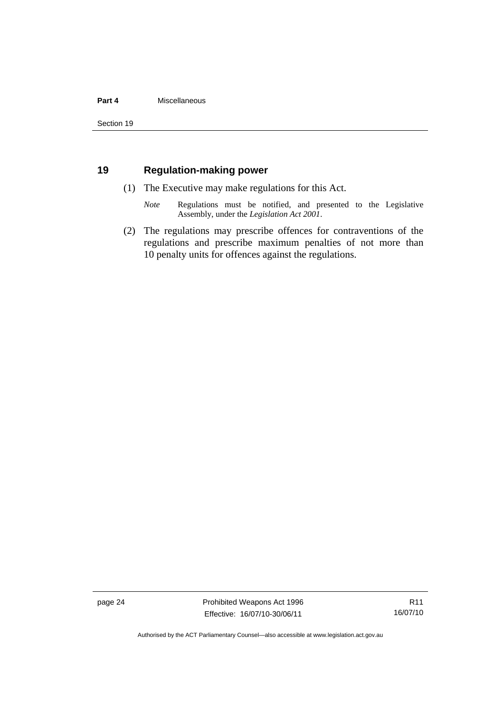#### **Part 4** Miscellaneous

## <span id="page-29-0"></span>**19 Regulation-making power**

- (1) The Executive may make regulations for this Act.
	- *Note* Regulations must be notified, and presented to the Legislative Assembly, under the *Legislation Act 2001*.
- (2) The regulations may prescribe offences for contraventions of the regulations and prescribe maximum penalties of not more than 10 penalty units for offences against the regulations.

page 24 **Prohibited Weapons Act 1996** Effective: 16/07/10-30/06/11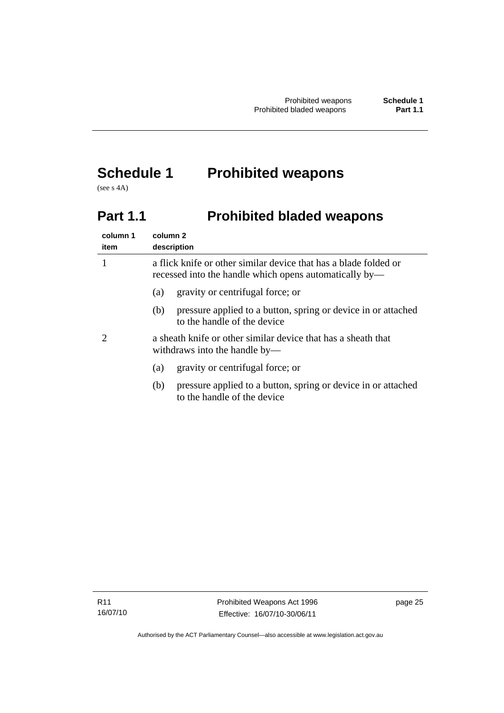# <span id="page-30-0"></span>**Schedule 1 Prohibited weapons**

(see s 4A)

# <span id="page-30-1"></span>Part 1.1 **Prohibited bladed weapons**

| column 1<br>item | column 2<br>description                                                                                                    |  |
|------------------|----------------------------------------------------------------------------------------------------------------------------|--|
|                  | a flick knife or other similar device that has a blade folded or<br>recessed into the handle which opens automatically by— |  |
|                  | gravity or centrifugal force; or<br>(a)                                                                                    |  |
|                  | pressure applied to a button, spring or device in or attached<br>(b)<br>to the handle of the device                        |  |
|                  | a sheath knife or other similar device that has a sheath that<br>withdraws into the handle by—                             |  |
|                  | gravity or centrifugal force; or<br>(a)                                                                                    |  |
|                  | pressure applied to a button, spring or device in or attached<br>(b)<br>to the handle of the device                        |  |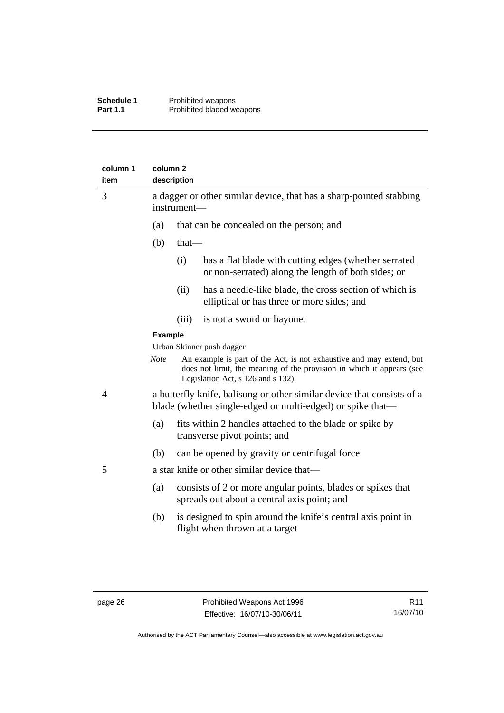| column 1<br>item | column <sub>2</sub><br>description |                                                                                                                                      |                                                                                                                                                                                     |
|------------------|------------------------------------|--------------------------------------------------------------------------------------------------------------------------------------|-------------------------------------------------------------------------------------------------------------------------------------------------------------------------------------|
| 3                |                                    | a dagger or other similar device, that has a sharp-pointed stabbing<br>instrument-                                                   |                                                                                                                                                                                     |
|                  | (a)                                |                                                                                                                                      | that can be concealed on the person; and                                                                                                                                            |
|                  | (b)                                | $that$ —                                                                                                                             |                                                                                                                                                                                     |
|                  |                                    | (i)                                                                                                                                  | has a flat blade with cutting edges (whether serrated<br>or non-serrated) along the length of both sides; or                                                                        |
|                  |                                    | (ii)                                                                                                                                 | has a needle-like blade, the cross section of which is<br>elliptical or has three or more sides; and                                                                                |
|                  |                                    | (iii)                                                                                                                                | is not a sword or bayonet                                                                                                                                                           |
|                  | <b>Example</b>                     |                                                                                                                                      |                                                                                                                                                                                     |
|                  |                                    |                                                                                                                                      | Urban Skinner push dagger                                                                                                                                                           |
|                  | <b>Note</b>                        |                                                                                                                                      | An example is part of the Act, is not exhaustive and may extend, but<br>does not limit, the meaning of the provision in which it appears (see<br>Legislation Act, s 126 and s 132). |
| $\overline{4}$   |                                    | a butterfly knife, balisong or other similar device that consists of a<br>blade (whether single-edged or multi-edged) or spike that— |                                                                                                                                                                                     |
|                  | (a)                                |                                                                                                                                      | fits within 2 handles attached to the blade or spike by<br>transverse pivot points; and                                                                                             |
|                  | (b)                                |                                                                                                                                      | can be opened by gravity or centrifugal force                                                                                                                                       |
| 5                |                                    | a star knife or other similar device that—                                                                                           |                                                                                                                                                                                     |
|                  | (a)                                |                                                                                                                                      | consists of 2 or more angular points, blades or spikes that<br>spreads out about a central axis point; and                                                                          |
|                  | (b)                                |                                                                                                                                      | is designed to spin around the knife's central axis point in<br>flight when thrown at a target                                                                                      |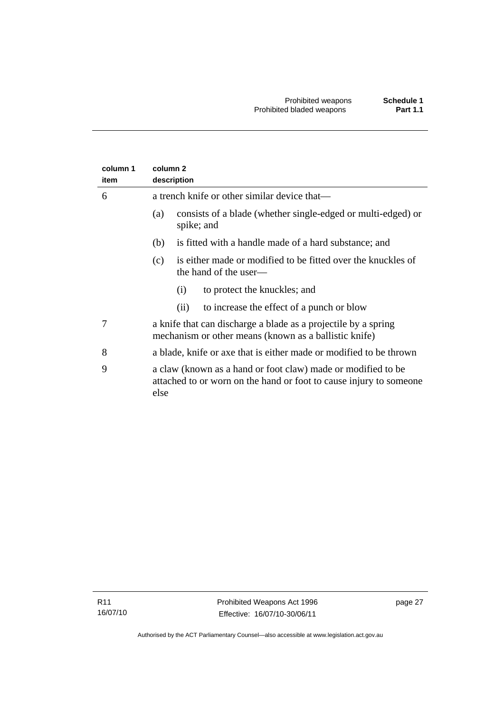| column 1<br>item | column 2<br>description                                                                                                                     |  |
|------------------|---------------------------------------------------------------------------------------------------------------------------------------------|--|
| 6                | a trench knife or other similar device that—                                                                                                |  |
|                  | consists of a blade (whether single-edged or multi-edged) or<br>(a)<br>spike; and                                                           |  |
|                  | is fitted with a handle made of a hard substance; and<br>(b)                                                                                |  |
|                  | is either made or modified to be fitted over the knuckles of<br>(c)<br>the hand of the user—                                                |  |
|                  | to protect the knuckles; and<br>(i)                                                                                                         |  |
|                  | to increase the effect of a punch or blow<br>(ii)                                                                                           |  |
| 7                | a knife that can discharge a blade as a projectile by a spring<br>mechanism or other means (known as a ballistic knife)                     |  |
| 8                | a blade, knife or axe that is either made or modified to be thrown                                                                          |  |
| 9                | a claw (known as a hand or foot claw) made or modified to be<br>attached to or worn on the hand or foot to cause injury to some one<br>else |  |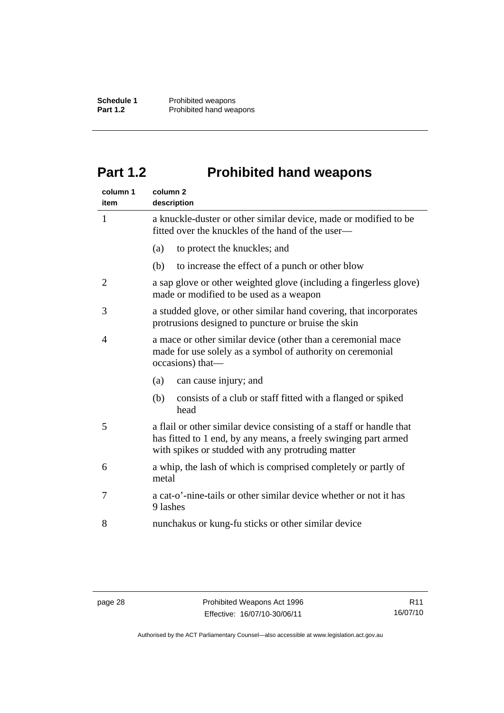# <span id="page-33-0"></span>**Part 1.2 Prohibited hand weapons**

| column 1<br>item | column <sub>2</sub><br>description                                                                                                                                                           |  |
|------------------|----------------------------------------------------------------------------------------------------------------------------------------------------------------------------------------------|--|
| 1                | a knuckle-duster or other similar device, made or modified to be<br>fitted over the knuckles of the hand of the user—                                                                        |  |
|                  | to protect the knuckles; and<br>(a)                                                                                                                                                          |  |
|                  | (b)<br>to increase the effect of a punch or other blow                                                                                                                                       |  |
| 2                | a sap glove or other weighted glove (including a fingerless glove)<br>made or modified to be used as a weapon                                                                                |  |
| 3                | a studded glove, or other similar hand covering, that incorporates<br>protrusions designed to puncture or bruise the skin                                                                    |  |
| 4                | a mace or other similar device (other than a ceremonial mace<br>made for use solely as a symbol of authority on ceremonial<br>occasions) that-                                               |  |
|                  | (a)<br>can cause injury; and                                                                                                                                                                 |  |
|                  | (b)<br>consists of a club or staff fitted with a flanged or spiked<br>head                                                                                                                   |  |
| 5                | a flail or other similar device consisting of a staff or handle that<br>has fitted to 1 end, by any means, a freely swinging part armed<br>with spikes or studded with any protruding matter |  |
| 6                | a whip, the lash of which is comprised completely or partly of<br>metal                                                                                                                      |  |
| 7                | a cat-o'-nine-tails or other similar device whether or not it has<br>9 lashes                                                                                                                |  |
| 8                | nunchakus or kung-fu sticks or other similar device                                                                                                                                          |  |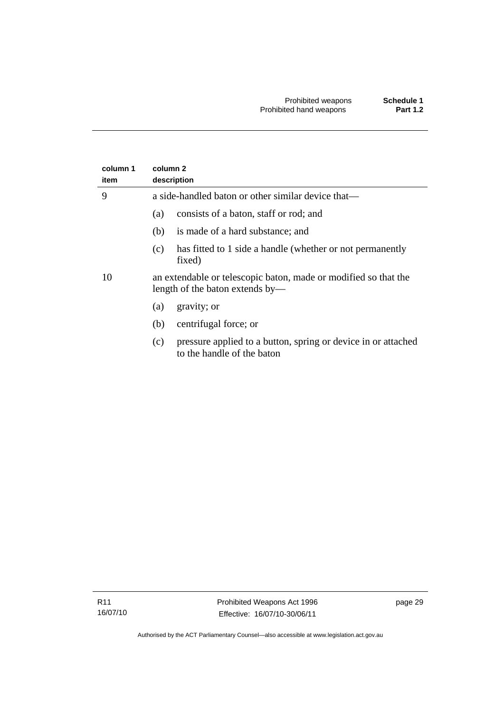| column 1<br>item | column 2<br>description                                                                            |  |
|------------------|----------------------------------------------------------------------------------------------------|--|
| 9                | a side-handled baton or other similar device that—                                                 |  |
|                  | consists of a baton, staff or rod; and<br>(a)                                                      |  |
|                  | is made of a hard substance; and<br>(b)                                                            |  |
|                  | has fitted to 1 side a handle (whether or not permanently<br>(c)<br>fixed)                         |  |
| 10               | an extendable or telescopic baton, made or modified so that the<br>length of the baton extends by— |  |
|                  | gravity; or<br>(a)                                                                                 |  |
|                  | centrifugal force; or<br>(b)                                                                       |  |
|                  | pressure applied to a button, spring or device in or attached<br>(c)<br>to the handle of the baton |  |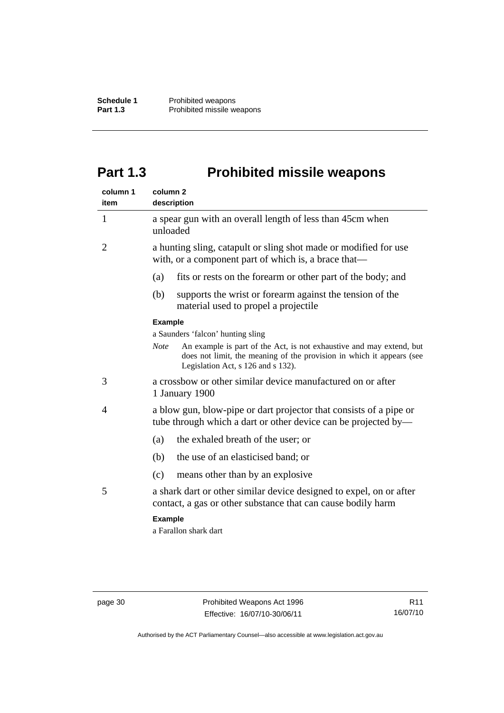# <span id="page-35-0"></span>**Part 1.3 Prohibited missile weapons**

| column 1<br>item | column <sub>2</sub><br>description                                                                                                                                                                 |  |
|------------------|----------------------------------------------------------------------------------------------------------------------------------------------------------------------------------------------------|--|
| 1                | a spear gun with an overall length of less than 45cm when<br>unloaded                                                                                                                              |  |
| 2                | a hunting sling, catapult or sling shot made or modified for use<br>with, or a component part of which is, a brace that—                                                                           |  |
|                  | (a)<br>fits or rests on the forearm or other part of the body; and                                                                                                                                 |  |
|                  | (b)<br>supports the wrist or forearm against the tension of the<br>material used to propel a projectile                                                                                            |  |
|                  | <b>Example</b>                                                                                                                                                                                     |  |
|                  | a Saunders 'falcon' hunting sling                                                                                                                                                                  |  |
|                  | <b>Note</b><br>An example is part of the Act, is not exhaustive and may extend, but<br>does not limit, the meaning of the provision in which it appears (see<br>Legislation Act, s 126 and s 132). |  |
| 3                | a crossbow or other similar device manufactured on or after<br>1 January 1900                                                                                                                      |  |
| 4                | a blow gun, blow-pipe or dart projector that consists of a pipe or<br>tube through which a dart or other device can be projected by—                                                               |  |
|                  | (a)<br>the exhaled breath of the user; or                                                                                                                                                          |  |
|                  | the use of an elasticised band; or<br>(b)                                                                                                                                                          |  |
|                  | means other than by an explosive<br>(c)                                                                                                                                                            |  |
| 5                | a shark dart or other similar device designed to expel, on or after<br>contact, a gas or other substance that can cause bodily harm                                                                |  |
|                  | <b>Example</b><br>a Farallon shark dart                                                                                                                                                            |  |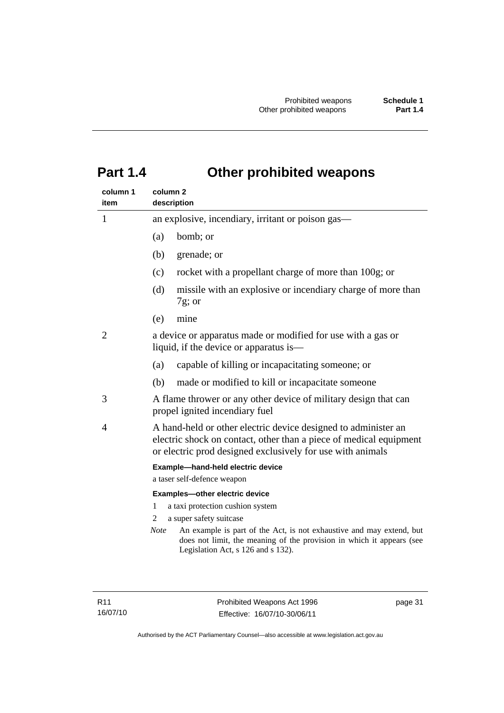# <span id="page-36-0"></span>**Part 1.4 Other prohibited weapons**

| column 1<br>item | column <sub>2</sub><br>description                                                                                                                                                                 |  |
|------------------|----------------------------------------------------------------------------------------------------------------------------------------------------------------------------------------------------|--|
| 1                | an explosive, incendiary, irritant or poison gas—                                                                                                                                                  |  |
|                  | bomb; or<br>(a)                                                                                                                                                                                    |  |
|                  | (b)<br>grenade; or                                                                                                                                                                                 |  |
|                  | rocket with a propellant charge of more than 100g; or<br>(c)                                                                                                                                       |  |
|                  | missile with an explosive or incendiary charge of more than<br>(d)<br>$7g$ ; or                                                                                                                    |  |
|                  | mine<br>(e)                                                                                                                                                                                        |  |
| 2                | a device or apparatus made or modified for use with a gas or<br>liquid, if the device or apparatus is—                                                                                             |  |
|                  | capable of killing or incapacitating someone; or<br>(a)                                                                                                                                            |  |
|                  | (b)<br>made or modified to kill or incapacitate someone                                                                                                                                            |  |
| 3                | A flame thrower or any other device of military design that can<br>propel ignited incendiary fuel                                                                                                  |  |
| 4                | A hand-held or other electric device designed to administer an<br>electric shock on contact, other than a piece of medical equipment<br>or electric prod designed exclusively for use with animals |  |
|                  | Example-hand-held electric device<br>a taser self-defence weapon                                                                                                                                   |  |
|                  | Examples-other electric device                                                                                                                                                                     |  |
|                  | a taxi protection cushion system<br>1                                                                                                                                                              |  |
|                  | a super safety suitcase<br>2                                                                                                                                                                       |  |
|                  | <b>Note</b><br>An example is part of the Act, is not exhaustive and may extend, but<br>does not limit, the meaning of the provision in which it appears (see                                       |  |

Legislation Act, s 126 and s 132).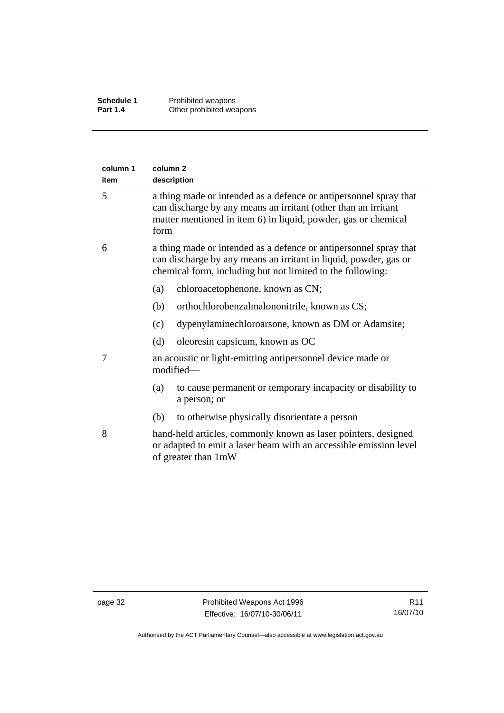| column 1<br>item | column <sub>2</sub><br>description                                                                                                                                                                            |  |  |
|------------------|---------------------------------------------------------------------------------------------------------------------------------------------------------------------------------------------------------------|--|--|
| 5                | a thing made or intended as a defence or antipersonnel spray that<br>can discharge by any means an irritant (other than an irritant<br>matter mentioned in item 6) in liquid, powder, gas or chemical<br>form |  |  |
| 6                | a thing made or intended as a defence or antipersonnel spray that<br>can discharge by any means an irritant in liquid, powder, gas or<br>chemical form, including but not limited to the following:           |  |  |
|                  | chloroacetophenone, known as CN;<br>(a)                                                                                                                                                                       |  |  |
|                  | orthochlorobenzalmalononitrile, known as CS;<br>(b)                                                                                                                                                           |  |  |
|                  | dypenylaminechloroarsone, known as DM or Adamsite;<br>(c)                                                                                                                                                     |  |  |
|                  | oleoresin capsicum, known as OC<br>(d)                                                                                                                                                                        |  |  |
| 7                | an acoustic or light-emitting antipersonnel device made or<br>modified-                                                                                                                                       |  |  |
|                  | to cause permanent or temporary incapacity or disability to<br>(a)<br>a person; or                                                                                                                            |  |  |
|                  | to otherwise physically disorientate a person<br>(b)                                                                                                                                                          |  |  |
| 8                | hand-held articles, commonly known as laser pointers, designed<br>or adapted to emit a laser beam with an accessible emission level<br>of greater than 1mW                                                    |  |  |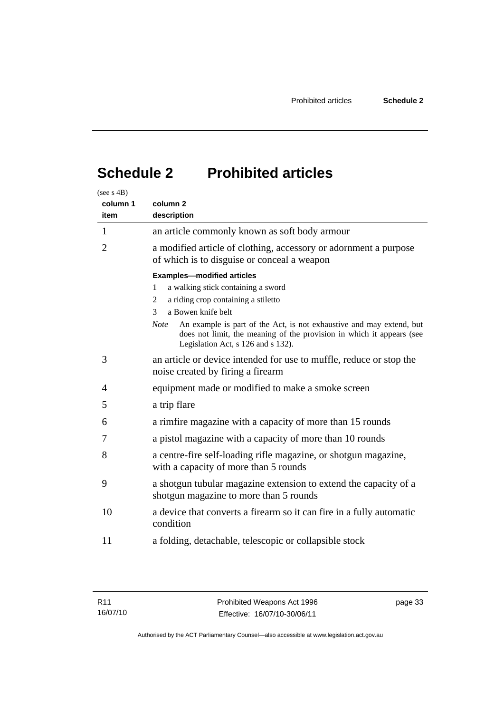# <span id="page-38-0"></span>**Schedule 2 Prohibited articles**

| (see s 4B)     |                                                                                                                                                                                                    |
|----------------|----------------------------------------------------------------------------------------------------------------------------------------------------------------------------------------------------|
| column 1       | column <sub>2</sub>                                                                                                                                                                                |
| item           | description                                                                                                                                                                                        |
| 1              | an article commonly known as soft body armour                                                                                                                                                      |
| $\overline{2}$ | a modified article of clothing, accessory or adornment a purpose<br>of which is to disguise or conceal a weapon                                                                                    |
|                | <b>Examples-modified articles</b>                                                                                                                                                                  |
|                | a walking stick containing a sword<br>1                                                                                                                                                            |
|                | a riding crop containing a stiletto<br>2                                                                                                                                                           |
|                | a Bowen knife belt<br>3                                                                                                                                                                            |
|                | An example is part of the Act, is not exhaustive and may extend, but<br><b>Note</b><br>does not limit, the meaning of the provision in which it appears (see<br>Legislation Act, s 126 and s 132). |
| 3              | an article or device intended for use to muffle, reduce or stop the<br>noise created by firing a firearm                                                                                           |
| 4              | equipment made or modified to make a smoke screen                                                                                                                                                  |
| 5              | a trip flare                                                                                                                                                                                       |
| 6              | a rimfire magazine with a capacity of more than 15 rounds                                                                                                                                          |
| 7              | a pistol magazine with a capacity of more than 10 rounds                                                                                                                                           |
| 8              | a centre-fire self-loading rifle magazine, or shotgun magazine,<br>with a capacity of more than 5 rounds                                                                                           |
| 9              | a shotgun tubular magazine extension to extend the capacity of a<br>shotgun magazine to more than 5 rounds                                                                                         |
| 10             | a device that converts a firearm so it can fire in a fully automatic<br>condition                                                                                                                  |
| 11             | a folding, detachable, telescopic or collapsible stock                                                                                                                                             |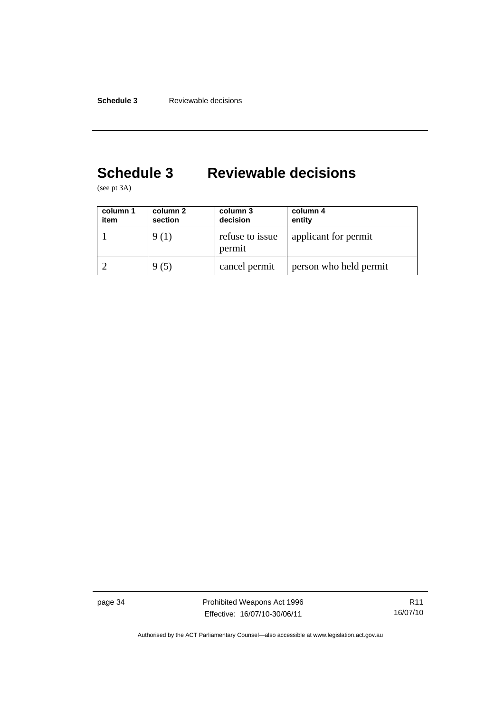# <span id="page-39-0"></span>**Schedule 3 Reviewable decisions**

(see pt 3A)

| column 1<br>item | column 2<br>section | column 3<br>decision      | column 4<br>entity     |
|------------------|---------------------|---------------------------|------------------------|
|                  | 9(1)                | refuse to issue<br>permit | applicant for permit   |
|                  | (5)                 | cancel permit             | person who held permit |

page 34 Prohibited Weapons Act 1996 Effective: 16/07/10-30/06/11

R11 16/07/10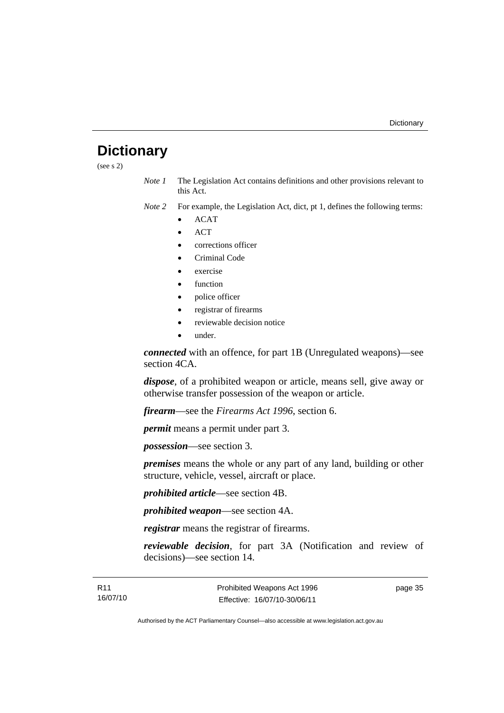## <span id="page-40-0"></span>**Dictionary**

(see s 2)

- *Note 1* The Legislation Act contains definitions and other provisions relevant to this Act.
- *Note 2* For example, the Legislation Act, dict, pt 1, defines the following terms:
	- ACAT
	- **ACT**
	- corrections officer
	- Criminal Code
	- exercise
	- function
	- police officer
	- registrar of firearms
	- reviewable decision notice
	- under.

*connected* with an offence, for part 1B (Unregulated weapons)—see section 4CA.

*dispose*, of a prohibited weapon or article, means sell, give away or otherwise transfer possession of the weapon or article.

*firearm*—see the *Firearms Act 1996*, section 6.

*permit* means a permit under part 3.

*possession*—see section 3.

*premises* means the whole or any part of any land, building or other structure, vehicle, vessel, aircraft or place.

*prohibited article*—see section 4B.

*prohibited weapon*—see section 4A.

*registrar* means the registrar of firearms.

*reviewable decision*, for part 3A (Notification and review of decisions)—see section 14.

Prohibited Weapons Act 1996 Effective: 16/07/10-30/06/11

page 35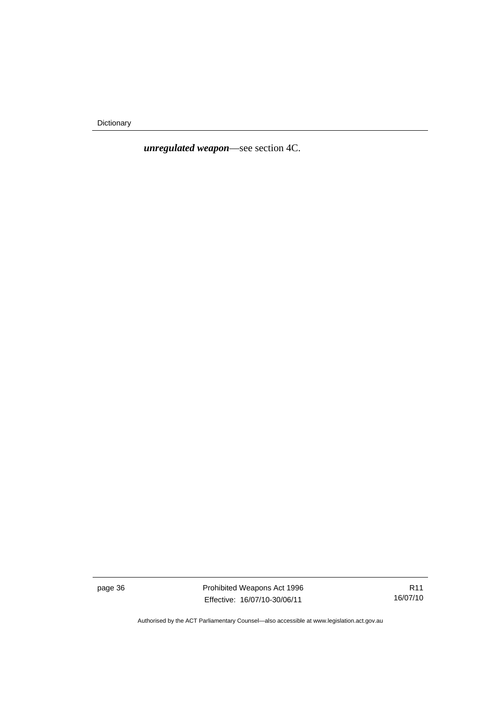Dictionary

*unregulated weapon*—see section 4C.

page 36 Prohibited Weapons Act 1996 Effective: 16/07/10-30/06/11

R11 16/07/10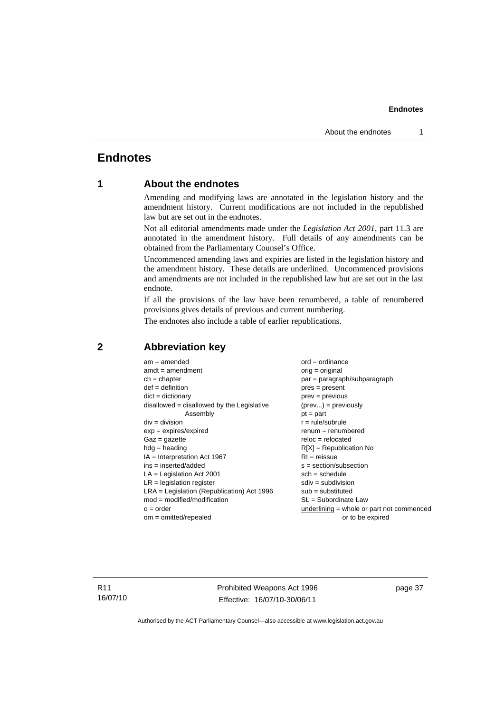## <span id="page-42-0"></span>**Endnotes**

## **1 About the endnotes**

Amending and modifying laws are annotated in the legislation history and the amendment history. Current modifications are not included in the republished law but are set out in the endnotes.

Not all editorial amendments made under the *Legislation Act 2001*, part 11.3 are annotated in the amendment history. Full details of any amendments can be obtained from the Parliamentary Counsel's Office.

Uncommenced amending laws and expiries are listed in the legislation history and the amendment history. These details are underlined. Uncommenced provisions and amendments are not included in the republished law but are set out in the last endnote.

If all the provisions of the law have been renumbered, a table of renumbered provisions gives details of previous and current numbering.

The endnotes also include a table of earlier republications.

| $am = amended$                               | $ord = ordinance$                         |
|----------------------------------------------|-------------------------------------------|
| $amdt = amendment$                           | $orig = original$                         |
| $ch = chapter$                               | $par = paragraph/subparagraph$            |
| $def = definition$                           | $pres = present$                          |
| $dict = dictionary$                          | $prev = previous$                         |
| $disallowed = disallowed by the Legislative$ | $(\text{prev}) = \text{previously}$       |
| Assembly                                     | $pt = part$                               |
| $div = division$                             | $r = rule/subrule$                        |
| $exp = expires/expired$                      | $remum = renumbered$                      |
| $Gaz = gazette$                              | $reloc = relocated$                       |
| $hda =$ heading                              | $R[X]$ = Republication No                 |
| $IA = Interpretation Act 1967$               | $RI = reissue$                            |
| $ins = inserted/added$                       | $s = section/subsection$                  |
| $LA =$ Legislation Act 2001                  | $sch = schedule$                          |
| $LR =$ legislation register                  | $sdiv = subdivision$                      |
| $LRA =$ Legislation (Republication) Act 1996 | $sub =$ substituted                       |
| $mod = modified/modification$                | SL = Subordinate Law                      |
| $o = order$                                  | underlining = whole or part not commenced |
| $om = omitted/repealed$                      | or to be expired                          |
|                                              |                                           |

#### <span id="page-42-2"></span>**2 Abbreviation key**

R11 16/07/10 Prohibited Weapons Act 1996 Effective: 16/07/10-30/06/11

page 37

<span id="page-42-1"></span>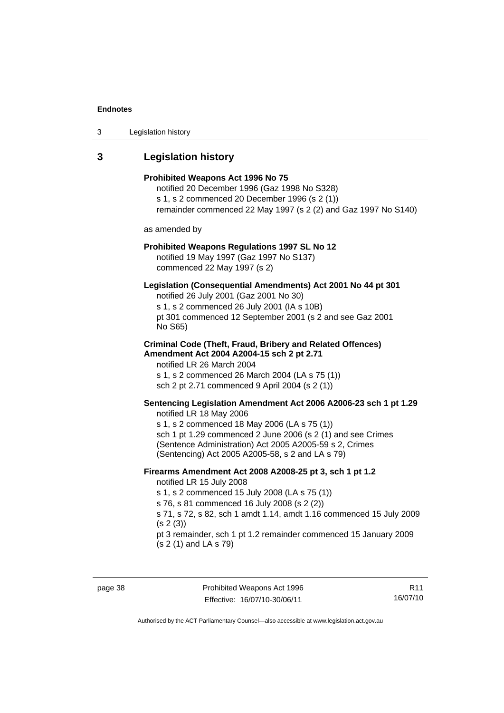# <span id="page-43-0"></span>**3 Legislation history**

| <b>Prohibited Weapons Act 1996 No 75</b><br>notified 20 December 1996 (Gaz 1998 No S328)<br>s 1, s 2 commenced 20 December 1996 (s 2 (1))<br>remainder commenced 22 May 1997 (s 2 (2) and Gaz 1997 No S140)                                                                                                                                                         |
|---------------------------------------------------------------------------------------------------------------------------------------------------------------------------------------------------------------------------------------------------------------------------------------------------------------------------------------------------------------------|
| as amended by                                                                                                                                                                                                                                                                                                                                                       |
| Prohibited Weapons Regulations 1997 SL No 12<br>notified 19 May 1997 (Gaz 1997 No S137)<br>commenced 22 May 1997 (s 2)                                                                                                                                                                                                                                              |
| Legislation (Consequential Amendments) Act 2001 No 44 pt 301<br>notified 26 July 2001 (Gaz 2001 No 30)<br>s 1, s 2 commenced 26 July 2001 (IA s 10B)<br>pt 301 commenced 12 September 2001 (s 2 and see Gaz 2001<br>No S65)                                                                                                                                         |
| <b>Criminal Code (Theft, Fraud, Bribery and Related Offences)</b><br>Amendment Act 2004 A2004-15 sch 2 pt 2.71<br>notified LR 26 March 2004<br>s 1, s 2 commenced 26 March 2004 (LA s 75 (1))<br>sch 2 pt 2.71 commenced 9 April 2004 (s 2 (1))                                                                                                                     |
| Sentencing Legislation Amendment Act 2006 A2006-23 sch 1 pt 1.29<br>notified LR 18 May 2006<br>s 1, s 2 commenced 18 May 2006 (LA s 75 (1))<br>sch 1 pt 1.29 commenced 2 June 2006 (s 2 (1) and see Crimes<br>(Sentence Administration) Act 2005 A2005-59 s 2, Crimes<br>(Sentencing) Act 2005 A2005-58, s 2 and LA s 79)                                           |
| Firearms Amendment Act 2008 A2008-25 pt 3, sch 1 pt 1.2<br>notified LR 15 July 2008<br>s 1, s 2 commenced 15 July 2008 (LA s 75 (1))<br>s 76, s 81 commenced 16 July 2008 (s 2 (2))<br>s 71, s 72, s 82, sch 1 amdt 1.14, amdt 1.16 commenced 15 July 2009<br>(s 2(3))<br>pt 3 remainder, sch 1 pt 1.2 remainder commenced 15 January 2009<br>(s 2 (1) and LA s 79) |

page 38 Prohibited Weapons Act 1996 Effective: 16/07/10-30/06/11

R11 16/07/10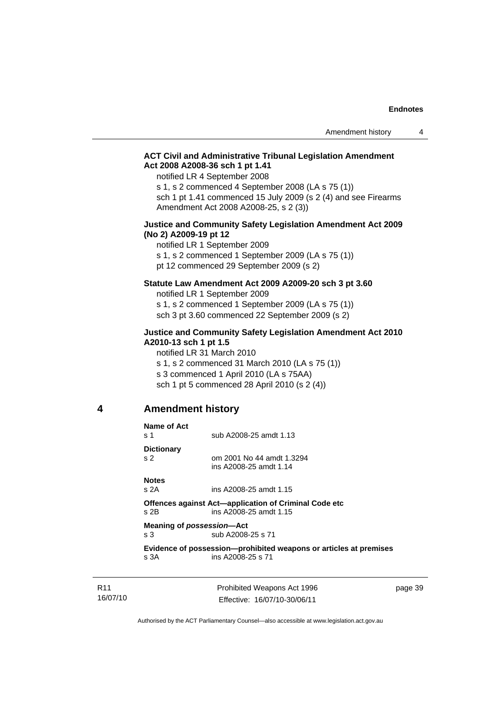#### **ACT Civil and Administrative Tribunal Legislation Amendment Act 2008 A2008-36 sch 1 pt 1.41**

notified LR 4 September 2008

s 1, s 2 commenced 4 September 2008 (LA s 75 (1)) sch 1 pt 1.41 commenced 15 July 2009 (s 2 (4) and see Firearms Amendment Act 2008 A2008-25, s 2 (3))

#### **Justice and Community Safety Legislation Amendment Act 2009 (No 2) A2009-19 pt 12**

notified LR 1 September 2009 s 1, s 2 commenced 1 September 2009 (LA s 75 (1)) pt 12 commenced 29 September 2009 (s 2)

#### **Statute Law Amendment Act 2009 A2009-20 sch 3 pt 3.60**

notified LR 1 September 2009 s 1, s 2 commenced 1 September 2009 (LA s 75 (1)) sch 3 pt 3.60 commenced 22 September 2009 (s 2)

#### **Justice and Community Safety Legislation Amendment Act 2010 A2010-13 sch 1 pt 1.5**

notified LR 31 March 2010 s 1, s 2 commenced 31 March 2010 (LA s 75 (1))

s 3 commenced 1 April 2010 (LA s 75AA)

sch 1 pt 5 commenced 28 April 2010 (s 2 (4))

#### <span id="page-44-0"></span>**4 Amendment history**

| Name of Act<br>s 1                                               | sub A2008-25 amdt 1.13                                                                  |  |  |
|------------------------------------------------------------------|-----------------------------------------------------------------------------------------|--|--|
| <b>Dictionary</b><br>s <sub>2</sub>                              | om 2001 No 44 amdt 1.3294<br>ins A2008-25 amdt 1.14                                     |  |  |
| <b>Notes</b><br>S <sub>2A</sub>                                  | ins A2008-25 amdt 1.15                                                                  |  |  |
| s 2B                                                             | Offences against Act—application of Criminal Code etc<br>ins A2008-25 amdt 1.15         |  |  |
| Meaning of possession-Act<br>sub A2008-25 s 71<br>s <sub>3</sub> |                                                                                         |  |  |
| s 3A                                                             | Evidence of possession--prohibited weapons or articles at premises<br>ins A2008-25 s 71 |  |  |

R11 16/07/10 Prohibited Weapons Act 1996 Effective: 16/07/10-30/06/11

page 39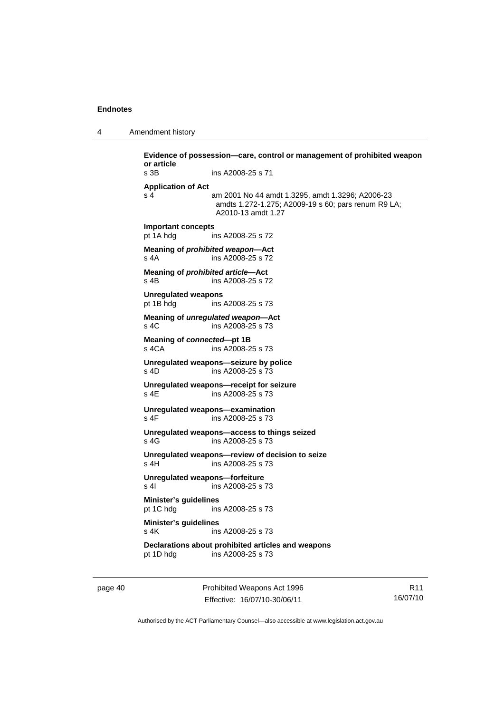4 Amendment history

**Evidence of possession—care, control or management of prohibited weapon or article**  s 3B ins A2008-25 s 71 **Application of Act**  s 4 am 2001 No 44 amdt 1.3295, amdt 1.3296; A2006-23 amdts 1.272-1.275; A2009-19 s 60; pars renum R9 LA; A2010-13 amdt 1.27 **Important concepts**  ins A2008-25 s 72 **Meaning of** *prohibited weapon***—Act**  s 4A ins A2008-25 s 72 **Meaning of** *prohibited article***—Act**  s 4B ins A2008-25 s 72 **Unregulated weapons**  pt 1B hdg ins A2008-25 s 73 **Meaning of** *unregulated weapon***—Act**  s 4C ins A2008-25 s 73 **Meaning of** *connected***—pt 1B**  s 4CA ins A2008-25 s 73 **Unregulated weapons—seizure by police**  s 4D ins A2008-25 s 73 **Unregulated weapons—receipt for seizure**  s 4E ins A2008-25 s 73 **Unregulated weapons—examination**  s 4F ins A2008-25 s 73 **Unregulated weapons—access to things seized**  s 4G ins A2008-25 s 73 **Unregulated weapons—review of decision to seize**  s 4H ins A2008-25 s 73 **Unregulated weapons—forfeiture**  s 4I ins A2008-25 s 73 **Minister's guidelines**  pt 1C hdg ins A2008-25 s 73 **Minister's guidelines**  s 4K ins A2008-25 s 73 **Declarations about prohibited articles and weapons**  pt 1D hdg ins A2008-25 s 73

page 40 **Prohibited Weapons Act 1996** Effective: 16/07/10-30/06/11

R11 16/07/10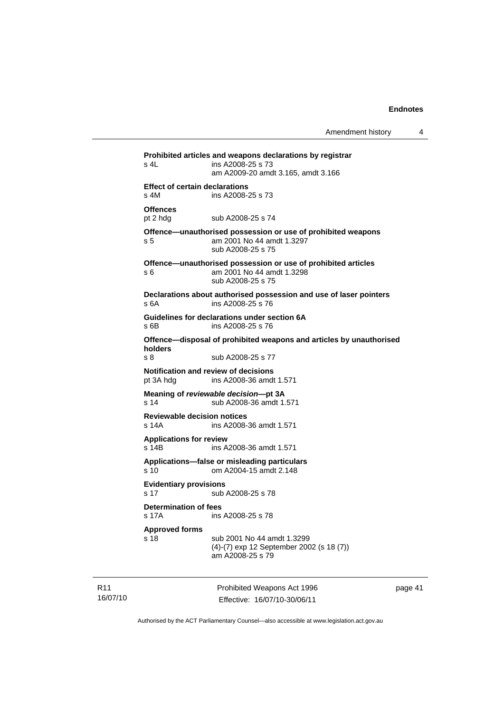Prohibited Weapons Act 1996 **Prohibited articles and weapons declarations by registrar**  s 4L ins A2008-25 s 73 am A2009-20 amdt 3.165, amdt 3.166 **Effect of certain declarations**  s 4M ins A2008-25 s 73 **Offences**  pt 2 hdg sub A2008-25 s 74 **Offence—unauthorised possession or use of prohibited weapons**  s 5 am 2001 No 44 amdt 1.3297 sub A2008-25 s 75 **Offence—unauthorised possession or use of prohibited articles**  s 6 am 2001 No 44 amdt 1.3298 sub A2008-25 s 75 **Declarations about authorised possession and use of laser pointers**  s 6A ins A2008-25 s 76 **Guidelines for declarations under section 6A**  s 6B ins A2008-25 s 76 **Offence—disposal of prohibited weapons and articles by unauthorised holders**  sub A2008-25 s 77 **Notification and review of decisions**  pt 3A hdg ins A2008-36 amdt 1.571 **Meaning of** *reviewable decision—***pt 3A**  s 14 sub A2008-36 amdt 1.571 **Reviewable decision notices**  s 14A ins A2008-36 amdt 1.571 **Applications for review**  s 14B ins A2008-36 amdt 1.571 **Applications—false or misleading particulars**  s 10 om A2004-15 amdt 2.148 **Evidentiary provisions**  s 17 sub A2008-25 s 78 **Determination of fees**  s 17A ins A2008-25 s 78 **Approved forms**  s 18 sub 2001 No 44 amdt 1.3299 (4)-(7) exp 12 September 2002 (s 18 (7)) am A2008-25 s 79

R11 16/07/10

Effective: 16/07/10-30/06/11

page 41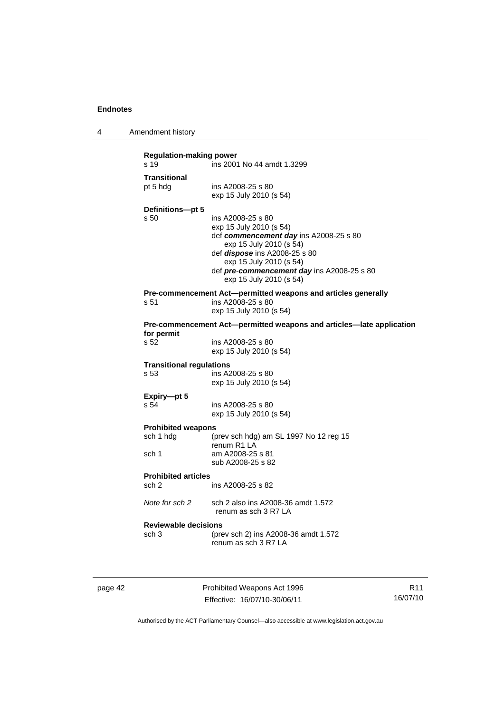| 4 | Amendment history |
|---|-------------------|
|---|-------------------|

| <b>Regulation-making power</b><br>s 19          | ins 2001 No 44 amdt 1.3299                                                                                                                                                                                                                                    |  |  |  |
|-------------------------------------------------|---------------------------------------------------------------------------------------------------------------------------------------------------------------------------------------------------------------------------------------------------------------|--|--|--|
| <b>Transitional</b><br>pt 5 hdg                 | ins A2008-25 s 80<br>exp 15 July 2010 (s 54)                                                                                                                                                                                                                  |  |  |  |
| Definitions-pt 5<br>s 50                        | ins A2008-25 s 80<br>exp 15 July 2010 (s 54)<br>def commencement day ins A2008-25 s 80<br>exp 15 July 2010 (s 54)<br>def <i>dispose</i> ins A2008-25 s 80<br>exp 15 July 2010 (s 54)<br>def pre-commencement day ins A2008-25 s 80<br>exp 15 July 2010 (s 54) |  |  |  |
| s 51                                            | Pre-commencement Act-permitted weapons and articles generally<br>ins A2008-25 s 80<br>exp 15 July 2010 (s 54)                                                                                                                                                 |  |  |  |
| for permit                                      | Pre-commencement Act—permitted weapons and articles—late application                                                                                                                                                                                          |  |  |  |
| s 52                                            | ins A2008-25 s 80<br>exp 15 July 2010 (s 54)                                                                                                                                                                                                                  |  |  |  |
| <b>Transitional regulations</b><br>s 53         | ins A2008-25 s 80<br>exp 15 July 2010 (s 54)                                                                                                                                                                                                                  |  |  |  |
| Expiry-pt 5<br>s 54                             | ins A2008-25 s 80<br>exp 15 July 2010 (s 54)                                                                                                                                                                                                                  |  |  |  |
| <b>Prohibited weapons</b>                       |                                                                                                                                                                                                                                                               |  |  |  |
| sch 1 hdg                                       | (prev sch hdg) am SL 1997 No 12 reg 15<br>renum R1 LA                                                                                                                                                                                                         |  |  |  |
| sch 1                                           | am A2008-25 s 81<br>sub A2008-25 s 82                                                                                                                                                                                                                         |  |  |  |
|                                                 | <b>Prohibited articles</b>                                                                                                                                                                                                                                    |  |  |  |
| sch 2                                           | ins A2008-25 s 82                                                                                                                                                                                                                                             |  |  |  |
| Note for sch 2                                  | sch 2 also ins A2008-36 amdt 1.572<br>renum as sch 3 R7 LA                                                                                                                                                                                                    |  |  |  |
| <b>Reviewable decisions</b><br>sch <sub>3</sub> | (prev sch 2) ins A2008-36 amdt 1.572<br>renum as sch 3 R7 LA                                                                                                                                                                                                  |  |  |  |

page 42 Prohibited Weapons Act 1996 Effective: 16/07/10-30/06/11

R11 16/07/10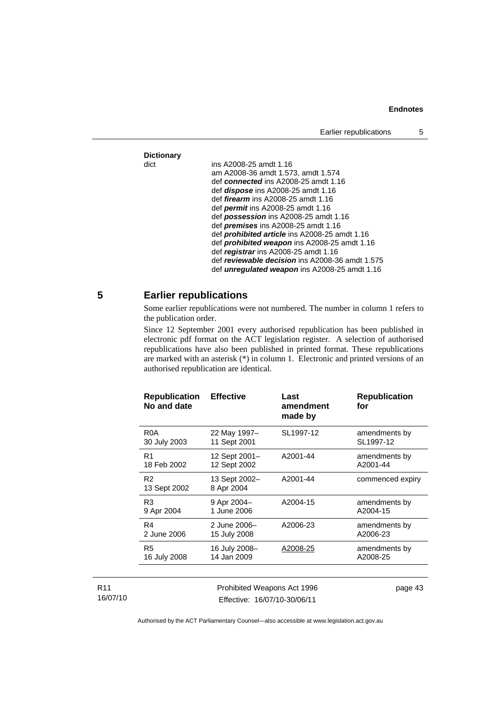# **Dictionary**

| dict | ins A2008-25 amdt 1.16                               |
|------|------------------------------------------------------|
|      | am A2008-36 amdt 1.573, amdt 1.574                   |
|      | def connected ins A2008-25 amdt 1.16                 |
|      | def <i>dispose</i> ins A2008-25 amdt 1.16            |
|      | def <i>firearm</i> ins A2008-25 amdt 1.16            |
|      | def <i>permit</i> ins A2008-25 amdt 1.16             |
|      | def possession ins A2008-25 amdt 1.16                |
|      | def <i>premises</i> ins $A2008-25$ amdt $1.16$       |
|      | def <b>prohibited article</b> ins A2008-25 amdt 1.16 |
|      | def <b>prohibited weapon</b> ins A2008-25 amdt 1.16  |
|      | def registrar ins A2008-25 amdt 1.16                 |
|      | def reviewable decision ins A2008-36 amdt 1.575      |
|      | def <i>unrequlated weapon</i> ins A2008-25 amdt 1.16 |
|      |                                                      |

## <span id="page-48-0"></span>**5 Earlier republications**

Some earlier republications were not numbered. The number in column 1 refers to the publication order.

Since 12 September 2001 every authorised republication has been published in electronic pdf format on the ACT legislation register. A selection of authorised republications have also been published in printed format. These republications are marked with an asterisk (\*) in column 1. Electronic and printed versions of an authorised republication are identical.

| <b>Republication</b><br>No and date | <b>Effective</b>            | Last<br>amendment<br>made by | <b>Republication</b><br>for |
|-------------------------------------|-----------------------------|------------------------------|-----------------------------|
| R <sub>0</sub> A                    | 22 May 1997-                | SL1997-12                    | amendments by               |
| 30 July 2003                        | 11 Sept 2001                |                              | SL1997-12                   |
| R1                                  | 12 Sept 2001-               | A2001-44                     | amendments by               |
| 18 Feb 2002                         | 12 Sept 2002                |                              | A2001-44                    |
| R <sub>2</sub><br>13 Sept 2002      | 13 Sept 2002-<br>8 Apr 2004 | A2001-44                     | commenced expiry            |
| R <sub>3</sub>                      | 9 Apr 2004-                 | A2004-15                     | amendments by               |
| 9 Apr 2004                          | 1 June 2006                 |                              | A2004-15                    |
| R4                                  | 2 June 2006-                | A2006-23                     | amendments by               |
| 2 June 2006                         | 15 July 2008                |                              | A2006-23                    |
| R <sub>5</sub>                      | 16 July 2008-               | A2008-25                     | amendments by               |
| 16 July 2008                        | 14 Jan 2009                 |                              | A2008-25                    |
|                                     |                             |                              |                             |

R11 16/07/10 Prohibited Weapons Act 1996 Effective: 16/07/10-30/06/11

page 43